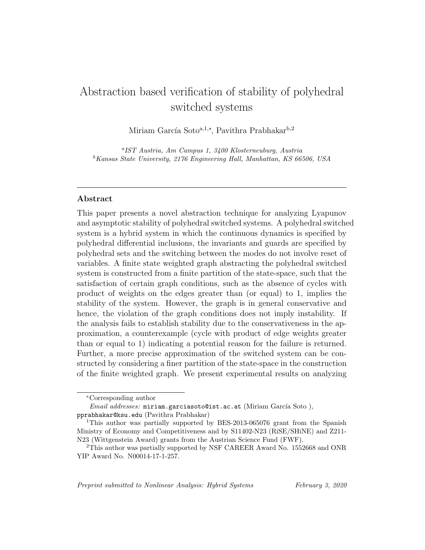# Abstraction based verification of stability of polyhedral switched systems

Miriam García Soto<sup>a,1,∗</sup>, Pavithra Prabhakar<sup>b,2</sup>

a IST Austria, Am Campus 1, 3400 Klosterneuburg, Austria  ${}^b$ Kansas State University, 2176 Engineering Hall, Manhattan, KS 66506, USA

# Abstract

This paper presents a novel abstraction technique for analyzing Lyapunov and asymptotic stability of polyhedral switched systems. A polyhedral switched system is a hybrid system in which the continuous dynamics is specified by polyhedral differential inclusions, the invariants and guards are specified by polyhedral sets and the switching between the modes do not involve reset of variables. A finite state weighted graph abstracting the polyhedral switched system is constructed from a finite partition of the state-space, such that the satisfaction of certain graph conditions, such as the absence of cycles with product of weights on the edges greater than (or equal) to 1, implies the stability of the system. However, the graph is in general conservative and hence, the violation of the graph conditions does not imply instability. If the analysis fails to establish stability due to the conservativeness in the approximation, a counterexample (cycle with product of edge weights greater than or equal to 1) indicating a potential reason for the failure is returned. Further, a more precise approximation of the switched system can be constructed by considering a finer partition of the state-space in the construction of the finite weighted graph. We present experimental results on analyzing

Preprint submitted to Nonlinear Analysis: Hybrid Systems February 3, 2020

<sup>∗</sup>Corresponding author

*Email addresses:* miriam.garciasoto@ist.ac.at (Miriam García Soto), pprabhakar@ksu.edu (Pavithra Prabhakar)

<sup>1</sup>This author was partially supported by BES-2013-065076 grant from the Spanish Ministry of Economy and Competitiveness and by S11402-N23 (RiSE/SHiNE) and Z211- N23 (Wittgenstein Award) grants from the Austrian Science Fund (FWF).

<sup>2</sup>This author was partially supported by NSF CAREER Award No. 1552668 and ONR YIP Award No. N00014-17-1-257.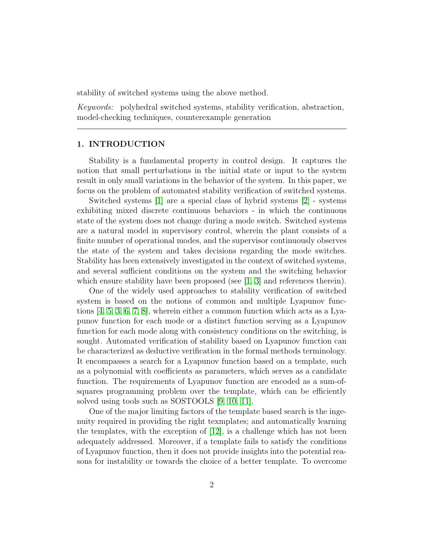stability of switched systems using the above method.

Keywords: polyhedral switched systems, stability verification, abstraction, model-checking techniques, counterexample generation

## 1. INTRODUCTION

Stability is a fundamental property in control design. It captures the notion that small perturbations in the initial state or input to the system result in only small variations in the behavior of the system. In this paper, we focus on the problem of automated stability verification of switched systems.

Switched systems [\[1\]](#page-31-0) are a special class of hybrid systems [\[2\]](#page-31-1) - systems exhibiting mixed discrete continuous behaviors - in which the continuous state of the system does not change during a mode switch. Switched systems are a natural model in supervisory control, wherein the plant consists of a finite number of operational modes, and the supervisor continuously observes the state of the system and takes decisions regarding the mode switches. Stability has been extensively investigated in the context of switched systems, and several sufficient conditions on the system and the switching behavior which ensure stability have been proposed (see [\[1,](#page-31-0) [3\]](#page-31-2) and references therein).

One of the widely used approaches to stability verification of switched system is based on the notions of common and multiple Lyapunov functions [\[4,](#page-31-3) [5,](#page-32-0) [3,](#page-31-2) [6,](#page-32-1) [7,](#page-32-2) [8\]](#page-32-3), wherein either a common function which acts as a Lyapunov function for each mode or a distinct function serving as a Lyapunov function for each mode along with consistency conditions on the switching, is sought. Automated verification of stability based on Lyapunov function can be characterized as deductive verification in the formal methods terminology. It encompasses a search for a Lyapunov function based on a template, such as a polynomial with coefficients as parameters, which serves as a candidate function. The requirements of Lyapunov function are encoded as a sum-ofsquares programming problem over the template, which can be efficiently solved using tools such as SOSTOOLS [\[9,](#page-32-4) [10,](#page-32-5) [11\]](#page-32-6).

One of the major limiting factors of the template based search is the ingenuity required in providing the right texmplates; and automatically learning the templates, with the exception of [\[12\]](#page-32-7), is a challenge which has not been adequately addressed. Moreover, if a template fails to satisfy the conditions of Lyapunov function, then it does not provide insights into the potential reasons for instability or towards the choice of a better template. To overcome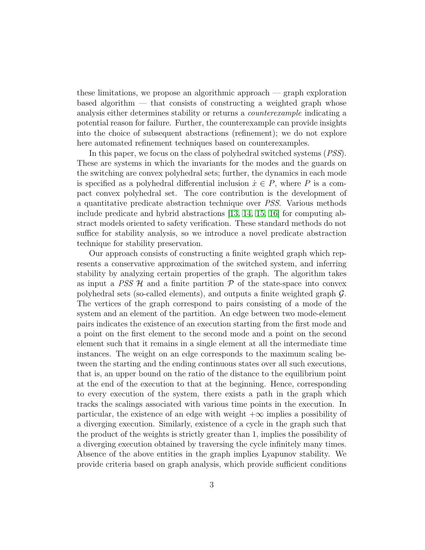these limitations, we propose an algorithmic approach — graph exploration based algorithm — that consists of constructing a weighted graph whose analysis either determines stability or returns a counterexample indicating a potential reason for failure. Further, the counterexample can provide insights into the choice of subsequent abstractions (refinement); we do not explore here automated refinement techniques based on counterexamples.

In this paper, we focus on the class of polyhedral switched systems (PSS). These are systems in which the invariants for the modes and the guards on the switching are convex polyhedral sets; further, the dynamics in each mode is specified as a polyhedral differential inclusion  $\dot{x} \in P$ , where P is a compact convex polyhedral set. The core contribution is the development of a quantitative predicate abstraction technique over PSS. Various methods include predicate and hybrid abstractions [\[13,](#page-32-8) [14,](#page-32-9) [15,](#page-33-0) [16\]](#page-33-1) for computing abstract models oriented to safety verification. These standard methods do not suffice for stability analysis, so we introduce a novel predicate abstraction technique for stability preservation.

Our approach consists of constructing a finite weighted graph which represents a conservative approximation of the switched system, and inferring stability by analyzing certain properties of the graph. The algorithm takes as input a  $PSS$  H and a finite partition  $\mathcal P$  of the state-space into convex polyhedral sets (so-called elements), and outputs a finite weighted graph  $\mathcal{G}$ . The vertices of the graph correspond to pairs consisting of a mode of the system and an element of the partition. An edge between two mode-element pairs indicates the existence of an execution starting from the first mode and a point on the first element to the second mode and a point on the second element such that it remains in a single element at all the intermediate time instances. The weight on an edge corresponds to the maximum scaling between the starting and the ending continuous states over all such executions, that is, an upper bound on the ratio of the distance to the equilibrium point at the end of the execution to that at the beginning. Hence, corresponding to every execution of the system, there exists a path in the graph which tracks the scalings associated with various time points in the execution. In particular, the existence of an edge with weight  $+\infty$  implies a possibility of a diverging execution. Similarly, existence of a cycle in the graph such that the product of the weights is strictly greater than 1, implies the possibility of a diverging execution obtained by traversing the cycle infinitely many times. Absence of the above entities in the graph implies Lyapunov stability. We provide criteria based on graph analysis, which provide sufficient conditions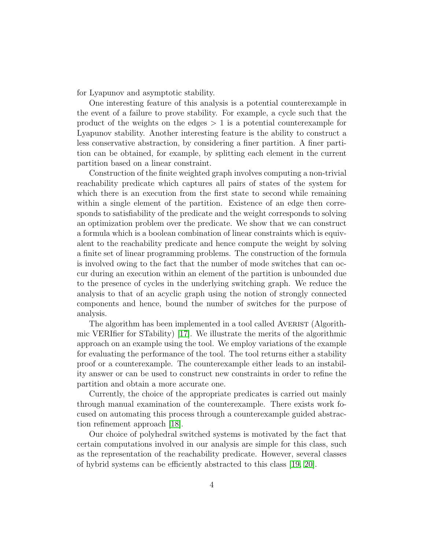for Lyapunov and asymptotic stability.

One interesting feature of this analysis is a potential counterexample in the event of a failure to prove stability. For example, a cycle such that the product of the weights on the edges  $> 1$  is a potential counterexample for Lyapunov stability. Another interesting feature is the ability to construct a less conservative abstraction, by considering a finer partition. A finer partition can be obtained, for example, by splitting each element in the current partition based on a linear constraint.

Construction of the finite weighted graph involves computing a non-trivial reachability predicate which captures all pairs of states of the system for which there is an execution from the first state to second while remaining within a single element of the partition. Existence of an edge then corresponds to satisfiability of the predicate and the weight corresponds to solving an optimization problem over the predicate. We show that we can construct a formula which is a boolean combination of linear constraints which is equivalent to the reachability predicate and hence compute the weight by solving a finite set of linear programming problems. The construction of the formula is involved owing to the fact that the number of mode switches that can occur during an execution within an element of the partition is unbounded due to the presence of cycles in the underlying switching graph. We reduce the analysis to that of an acyclic graph using the notion of strongly connected components and hence, bound the number of switches for the purpose of analysis.

The algorithm has been implemented in a tool called AVERIST (Algorithmic VERIfier for STability) [\[17\]](#page-33-2). We illustrate the merits of the algorithmic approach on an example using the tool. We employ variations of the example for evaluating the performance of the tool. The tool returns either a stability proof or a counterexample. The counterexample either leads to an instability answer or can be used to construct new constraints in order to refine the partition and obtain a more accurate one.

Currently, the choice of the appropriate predicates is carried out mainly through manual examination of the counterexample. There exists work focused on automating this process through a counterexample guided abstraction refinement approach [\[18\]](#page-33-3).

Our choice of polyhedral switched systems is motivated by the fact that certain computations involved in our analysis are simple for this class, such as the representation of the reachability predicate. However, several classes of hybrid systems can be efficiently abstracted to this class [\[19,](#page-33-4) [20\]](#page-33-5).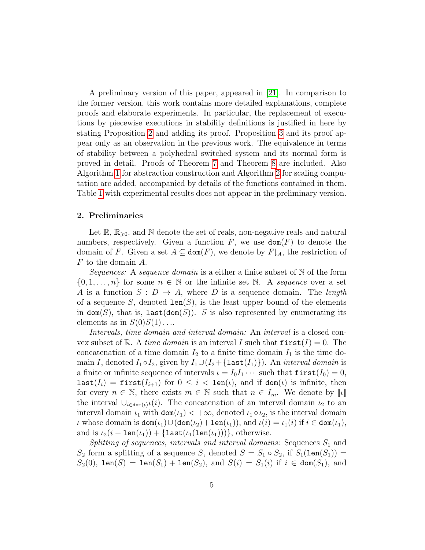A preliminary version of this paper, appeared in [\[21\]](#page-33-6). In comparison to the former version, this work contains more detailed explanations, complete proofs and elaborate experiments. In particular, the replacement of executions by piecewise executions in stability definitions is justified in here by stating Proposition [2](#page-10-0) and adding its proof. Proposition [3](#page-13-0) and its proof appear only as an observation in the previous work. The equivalence in terms of stability between a polyhedral switched system and its normal form is proved in detail. Proofs of Theorem [7](#page-18-0) and Theorem [8](#page-18-1) are included. Also Algorithm [1](#page-22-0) for abstraction construction and Algorithm [2](#page-24-0) for scaling computation are added, accompanied by details of the functions contained in them. Table [1](#page-31-4) with experimental results does not appear in the preliminary version.

## 2. Preliminaries

Let  $\mathbb{R}, \mathbb{R}_{\geqslant 0}$ , and N denote the set of reals, non-negative reals and natural numbers, respectively. Given a function  $F$ , we use  $\text{dom}(F)$  to denote the domain of F. Given a set  $A \subseteq \text{dom}(F)$ , we denote by  $F|_{A}$ , the restriction of F to the domain A.

Sequences: A sequence domain is a either a finite subset of N of the form  $\{0, 1, \ldots, n\}$  for some  $n \in \mathbb{N}$  or the infinite set N. A sequence over a set A is a function  $S: D \to A$ , where D is a sequence domain. The length of a sequence S, denoted  $len(S)$ , is the least upper bound of the elements in  $\text{dom}(S)$ , that is,  $\text{last}(\text{dom}(S))$ . S is also represented by enumerating its elements as in  $S(0)S(1)$ ...

Intervals, time domain and interval domain: An interval is a closed convex subset of R. A time domain is an interval I such that  $\text{first}(I) = 0$ . The concatenation of a time domain  $I_2$  to a finite time domain  $I_1$  is the time domain I, denoted  $I_1 \circ I_2$ , given by  $I_1 \cup (I_2 + \{\text{last}(I_1)\})$ . An *interval domain* is a finite or infinite sequence of intervals  $\iota = I_0 I_1 \cdots$  such that  $\text{first}(I_0) = 0$ ,  $\texttt{last}(I_i) = \texttt{first}(I_{i+1})$  for  $0 \leq i < \texttt{len}(\iota)$ , and if  $\texttt{dom}(\iota)$  is infinite, then for every  $n \in \mathbb{N}$ , there exists  $m \in \mathbb{N}$  such that  $n \in I_m$ . We denote by  $\llbracket \iota \rrbracket$ the interval  $\bigcup_{i\in\text{dom}(\iota)}\iota(i)$ . The concatenation of an interval domain  $\iota_2$  to an interval domain  $\iota_1$  with  $\text{dom}(\iota_1) < +\infty$ , denoted  $\iota_1 \circ \iota_2$ , is the interval domain  $\iota$  whose domain is  $\text{dom}(\iota_1) \cup (\text{dom}(\iota_2) + \text{len}(\iota_1)),$  and  $\iota(i) = \iota_1(i)$  if  $i \in \text{dom}(\iota_1),$ and is  $\iota_2(i - \text{len}(\iota_1)) + {\text{last}(\iota_1(\text{len}(\iota_1)))}$ , otherwise.

Splitting of sequences, intervals and interval domains: Sequences  $S_1$  and  $S_2$  form a splitting of a sequence S, denoted  $S = S_1 \circ S_2$ , if  $S_1(\text{len}(S_1)) =$  $S_2(0)$ , len $(S) = \text{len}(S_1) + \text{len}(S_2)$ , and  $S(i) = S_1(i)$  if  $i \in \text{dom}(S_1)$ , and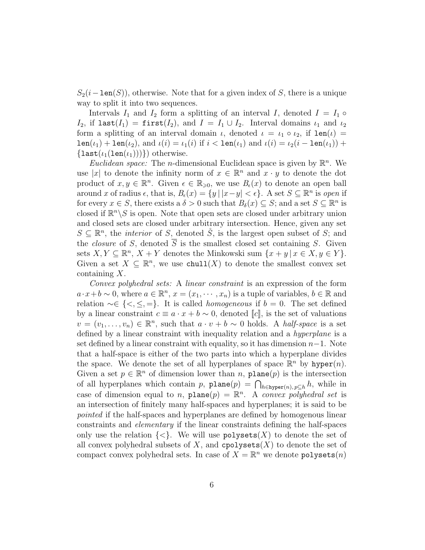$S_2(i-\text{len}(S))$ , otherwise. Note that for a given index of S, there is a unique way to split it into two sequences.

Intervals  $I_1$  and  $I_2$  form a splitting of an interval I, denoted  $I = I_1 \circ$  $I_2$ , if last( $I_1$ ) = first( $I_2$ ), and  $I = I_1 \cup I_2$ . Interval domains  $\iota_1$  and  $\iota_2$ form a splitting of an interval domain  $\iota$ , denoted  $\iota = \iota_1 \circ \iota_2$ , if  $\text{len}(\iota) =$  $\text{len}(\iota_1) + \text{len}(\iota_2)$ , and  $\iota(i) = \iota_1(i)$  if  $i < \text{len}(\iota_1)$  and  $\iota(i) = \iota_2(i - \text{len}(\iota_1)) + \iota_2(i - \text{len}(\iota_2))$  $\{last(\iota_1(len(\iota_1)))\})$  otherwise.

*Euclidean space:* The *n*-dimensional Euclidean space is given by  $\mathbb{R}^n$ . We use |x| to denote the infinity norm of  $x \in \mathbb{R}^n$  and  $x \cdot y$  to denote the dot product of  $x, y \in \mathbb{R}^n$ . Given  $\epsilon \in \mathbb{R}_{\geqslant 0}$ , we use  $B_{\epsilon}(x)$  to denote an open ball around x of radius  $\epsilon$ , that is,  $B_{\epsilon}(x) = \{y \mid |x-y| < \epsilon\}$ . A set  $S \subseteq \mathbb{R}^{n}$  is open if for every  $x \in S$ , there exists a  $\delta > 0$  such that  $B_{\delta}(x) \subseteq S$ ; and a set  $S \subseteq \mathbb{R}^{n}$  is closed if  $\mathbb{R}^n \setminus S$  is open. Note that open sets are closed under arbitrary union and closed sets are closed under arbitrary intersection. Hence, given any set  $S \subseteq \mathbb{R}^n$ , the *interior* of S, denoted  $\mathring{S}$ , is the largest open subset of S; and the *closure* of S, denoted  $\overline{S}$  is the smallest closed set containing S. Given sets  $X, Y \subseteq \mathbb{R}^n$ ,  $X + Y$  denotes the Minkowski sum  $\{x + y \mid x \in X, y \in Y\}$ . Given a set  $X \subseteq \mathbb{R}^n$ , we use chull(X) to denote the smallest convex set containing X.

Convex polyhedral sets: A linear constraint is an expression of the form  $a \cdot x + b \sim 0$ , where  $a \in \mathbb{R}^n$ ,  $x = (x_1, \dots, x_n)$  is a tuple of variables,  $b \in \mathbb{R}$  and relation  $\sim \in \{ \leq, \leq, = \}.$  It is called *homogeneous* if  $b = 0$ . The set defined by a linear constraint  $c \equiv a \cdot x + b \sim 0$ , denoted  $\llbracket c \rrbracket$ , is the set of valuations  $v = (v_1, \ldots, v_n) \in \mathbb{R}^n$ , such that  $a \cdot v + b \sim 0$  holds. A *half-space* is a set defined by a linear constraint with inequality relation and a hyperplane is a set defined by a linear constraint with equality, so it has dimension  $n-1$ . Note that a half-space is either of the two parts into which a hyperplane divides the space. We denote the set of all hyperplanes of space  $\mathbb{R}^n$  by hyper $(n)$ . Given a set  $p \in \mathbb{R}^n$  of dimension lower than n, plane(p) is the intersection of all hyperplanes which contain p,  $\texttt{plane}(p) = \bigcap_{h \in \texttt{hyper}(n), p \subseteq h} h$ , while in case of dimension equal to *n*,  $plane(p) = \mathbb{R}^n$ . A convex polyhedral set is an intersection of finitely many half-spaces and hyperplanes; it is said to be pointed if the half-spaces and hyperplanes are defined by homogenous linear constraints and elementary if the linear constraints defining the half-spaces only use the relation  $\{<\}$ . We will use polysets  $(X)$  to denote the set of all convex polyhedral subsets of  $X$ , and cpolysets $(X)$  to denote the set of compact convex polyhedral sets. In case of  $X = \mathbb{R}^n$  we denote  $\texttt{polyses}(n)$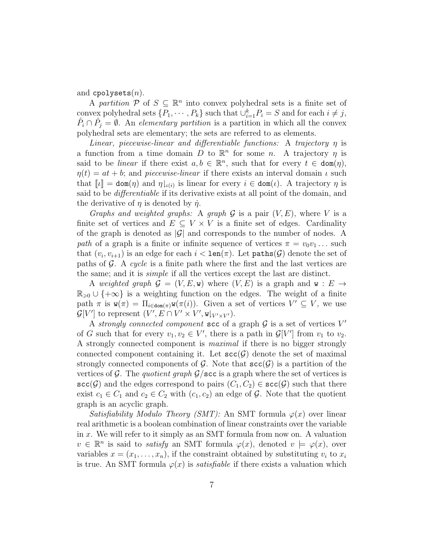and cpolysets $(n)$ .

A partition  $\mathcal{P}$  of  $S \subseteq \mathbb{R}^n$  into convex polyhedral sets is a finite set of convex polyhedral sets  $\{P_1, \cdots, P_k\}$  such that  $\bigcup_{i=1}^k P_i = S$  and for each  $i \neq j$ ,  $P_i \cap P_j = \emptyset$ . An elementary partition is a partition in which all the convex polyhedral sets are elementary; the sets are referred to as elements.

Linear, piecewise-linear and differentiable functions: A trajectory  $\eta$  is a function from a time domain  $\overline{D}$  to  $\mathbb{R}^n$  for some n. A trajectory  $\eta$  is said to be *linear* if there exist  $a, b \in \mathbb{R}^n$ , such that for every  $t \in \text{dom}(\eta)$ ,  $\eta(t) = at + b$ ; and *piecewise-linear* if there exists an interval domain  $\iota$  such that  $[\![\iota]\!] = \text{dom}(\eta)$  and  $\eta|_{\iota(i)}$  is linear for every  $i \in \text{dom}(\iota)$ . A trajectory  $\eta$  is said to be differentiable if its derivative exists at all point of the domain, and the derivative of  $\eta$  is denoted by  $\dot{\eta}$ .

Graphs and weighted graphs: A graph  $\mathcal G$  is a pair  $(V, E)$ , where V is a finite set of vertices and  $E \subseteq V \times V$  is a finite set of edges. Cardinality of the graph is denoted as  $|\mathcal{G}|$  and corresponds to the number of nodes. A path of a graph is a finite or infinite sequence of vertices  $\pi = v_0v_1 \dots$  such that  $(v_i, v_{i+1})$  is an edge for each  $i < \text{len}(\pi)$ . Let  $\text{paths}(\mathcal{G})$  denote the set of paths of  $\mathcal G$ . A cycle is a finite path where the first and the last vertices are the same; and it is simple if all the vertices except the last are distinct.

A weighted graph  $\mathcal{G} = (V, E, \mathbf{w})$  where  $(V, E)$  is a graph and  $\mathbf{w}: E \to$  $\mathbb{R}_{\geq 0} \cup \{+\infty\}$  is a weighting function on the edges. The weight of a finite path  $\pi$  is  $\mathbf{w}(\pi) = \prod_{i \in \text{dom}(\pi)} \mathbf{w}(\pi(i))$ . Given a set of vertices  $V' \subseteq V$ , we use  $\mathcal{G}[V']$  to represent  $(V', E \cap V' \times V', \mathbf{w}|_{V' \times V'})$ .

A strongly connected component  $\operatorname{scc}$  of a graph  $\mathcal G$  is a set of vertices  $V'$ of G such that for every  $v_1, v_2 \in V'$ , there is a path in  $\mathcal{G}[V']$  from  $v_1$  to  $v_2$ . A strongly connected component is maximal if there is no bigger strongly connected component containing it. Let  $\mathsf{sec}(\mathcal{G})$  denote the set of maximal strongly connected components of G. Note that  $\mathsf{scc}(G)$  is a partition of the vertices of G. The quotient graph  $\mathcal{G}/\text{sec}$  is a graph where the set of vertices is  $\mathsf{scc}(\mathcal{G})$  and the edges correspond to pairs  $(C_1, C_2) \in \mathsf{scc}(\mathcal{G})$  such that there exist  $c_1 \in C_1$  and  $c_2 \in C_2$  with  $(c_1, c_2)$  an edge of  $\mathcal{G}$ . Note that the quotient graph is an acyclic graph.

Satisfiability Modulo Theory (SMT): An SMT formula  $\varphi(x)$  over linear real arithmetic is a boolean combination of linear constraints over the variable in x. We will refer to it simply as an SMT formula from now on. A valuation  $v \in \mathbb{R}^n$  is said to *satisfy* an SMT formula  $\varphi(x)$ , denoted  $v \models \varphi(x)$ , over variables  $x = (x_1, \ldots, x_n)$ , if the constraint obtained by substituting  $v_i$  to  $x_i$ is true. An SMT formula  $\varphi(x)$  is *satisfiable* if there exists a valuation which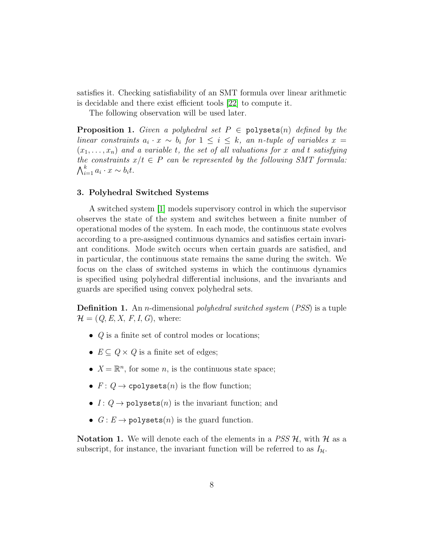satisfies it. Checking satisfiability of an SMT formula over linear arithmetic is decidable and there exist efficient tools [\[22\]](#page-33-7) to compute it.

The following observation will be used later.

**Proposition 1.** Given a polyhedral set  $P \in \text{polyses}(n)$  defined by the linear constraints  $a_i \cdot x \sim b_i$  for  $1 \leq i \leq k$ , an n-tuple of variables  $x =$  $(x_1, \ldots, x_n)$  and a variable t, the set of all valuations for x and t satisfying the constraints  $x/t \in P$  can be represented by the following SMT formula:  $\bigwedge_{i=1}^k a_i \cdot x \sim b_i t.$ 

## 3. Polyhedral Switched Systems

A switched system [\[1\]](#page-31-0) models supervisory control in which the supervisor observes the state of the system and switches between a finite number of operational modes of the system. In each mode, the continuous state evolves according to a pre-assigned continuous dynamics and satisfies certain invariant conditions. Mode switch occurs when certain guards are satisfied, and in particular, the continuous state remains the same during the switch. We focus on the class of switched systems in which the continuous dynamics is specified using polyhedral differential inclusions, and the invariants and guards are specified using convex polyhedral sets.

**Definition 1.** An *n*-dimensional *polyhedral switched system* (*PSS*) is a tuple  $\mathcal{H} = (Q, E, X, F, I, G)$ , where:

- $Q$  is a finite set of control modes or locations;
- $E \subseteq Q \times Q$  is a finite set of edges;
- $X = \mathbb{R}^n$ , for some *n*, is the continuous state space;
- $F: Q \to \text{cpolysets}(n)$  is the flow function;
- $I: Q \rightarrow \text{polyses}(n)$  is the invariant function; and
- $G: E \to \text{polyses}(n)$  is the guard function.

**Notation 1.** We will denote each of the elements in a  $PSS \mathcal{H}$ , with  $\mathcal{H}$  as a subscript, for instance, the invariant function will be referred to as  $I_{\mathcal{H}}$ .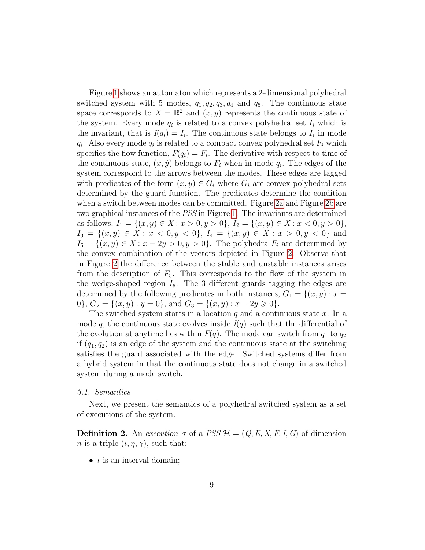Figure [1](#page-9-0) shows an automaton which represents a 2-dimensional polyhedral switched system with 5 modes,  $q_1, q_2, q_3, q_4$  and  $q_5$ . The continuous state space corresponds to  $X = \mathbb{R}^2$  and  $(x, y)$  represents the continuous state of the system. Every mode  $q_i$  is related to a convex polyhedral set  $I_i$  which is the invariant, that is  $I(q_i) = I_i$ . The continuous state belongs to  $I_i$  in mode  $q_i$ . Also every mode  $q_i$  is related to a compact convex polyhedral set  $F_i$  which specifies the flow function,  $F(q_i) = F_i$ . The derivative with respect to time of the continuous state,  $(\dot{x}, \dot{y})$  belongs to  $F_i$  when in mode  $q_i$ . The edges of the system correspond to the arrows between the modes. These edges are tagged with predicates of the form  $(x, y) \in G_i$  where  $G_i$  are convex polyhedral sets determined by the guard function. The predicates determine the condition when a switch between modes can be committed. Figure [2a](#page-9-1) and Figure [2b](#page-9-1) are two graphical instances of the PSS in Figure [1.](#page-9-0) The invariants are determined as follows,  $I_1 = \{(x, y) \in X : x > 0, y > 0\}, I_2 = \{(x, y) \in X : x < 0, y > 0\},$  $I_3 = \{(x, y) \in X : x < 0, y < 0\}, I_4 = \{(x, y) \in X : x > 0, y < 0\}$  and  $I_5 = \{(x, y) \in X : x - 2y > 0, y > 0\}.$  The polyhedra  $F_i$  are determined by the convex combination of the vectors depicted in Figure [2.](#page-9-1) Observe that in Figure [2](#page-9-1) the difference between the stable and unstable instances arises from the description of  $F_5$ . This corresponds to the flow of the system in the wedge-shaped region  $I_5$ . The 3 different guards tagging the edges are determined by the following predicates in both instances,  $G_1 = \{(x, y) : x =$ 0,  $G_2 = \{(x, y) : y = 0\}$ , and  $G_3 = \{(x, y) : x - 2y \ge 0\}$ .

The switched system starts in a location  $q$  and a continuous state  $x$ . In a mode q, the continuous state evolves inside  $I(q)$  such that the differential of the evolution at anytime lies within  $F(q)$ . The mode can switch from  $q_1$  to  $q_2$ if  $(q_1, q_2)$  is an edge of the system and the continuous state at the switching satisfies the guard associated with the edge. Switched systems differ from a hybrid system in that the continuous state does not change in a switched system during a mode switch.

#### 3.1. Semantics

Next, we present the semantics of a polyhedral switched system as a set of executions of the system.

**Definition 2.** An execution  $\sigma$  of a PSS  $\mathcal{H} = (Q, E, X, F, I, G)$  of dimension *n* is a triple  $(\iota, \eta, \gamma)$ , such that:

•  $\iota$  is an interval domain;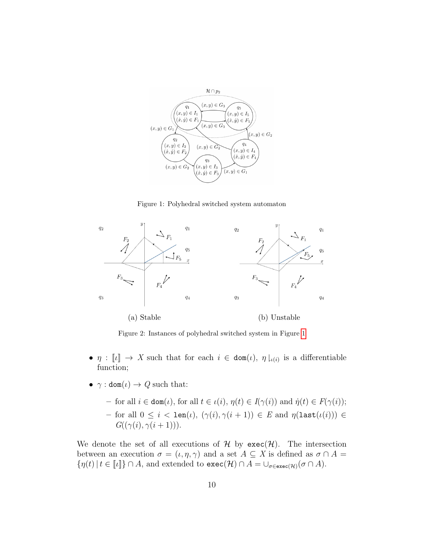<span id="page-9-0"></span>

Figure 1: Polyhedral switched system automaton

<span id="page-9-1"></span>

Figure 2: Instances of polyhedral switched system in Figure [1](#page-9-0)

- $\eta : \llbracket \iota \rrbracket \to X$  such that for each  $i \in \text{dom}(\iota)$ ,  $\eta \downharpoonright_{\iota(i)}$  is a differentiable function;
- $\gamma : \text{dom}(\iota) \to Q$  such that:
	- for all i ∈ dom(ι), for all t ∈ ι(i), η(t) ∈ I(γ(i)) and ˙η(t) ∈ F(γ(i)); – for all 0 ≤ i < len(ι), (γ(i), γ(i + 1)) ∈ E and η(last(ι(i))) ∈  $G((\gamma(i), \gamma(i+1))).$

We denote the set of all executions of  $H$  by  $\text{exec}(\mathcal{H})$ . The intersection between an execution  $\sigma = (\iota, \eta, \gamma)$  and a set  $A \subseteq X$  is defined as  $\sigma \cap A =$  $\{\eta(t) \mid t \in \llbracket \iota \rrbracket\} \cap A$ , and extended to  $\texttt{exec}(\mathcal{H}) \cap A = \cup_{\sigma \in \texttt{exec}(\mathcal{H})} (\sigma \cap A)$ .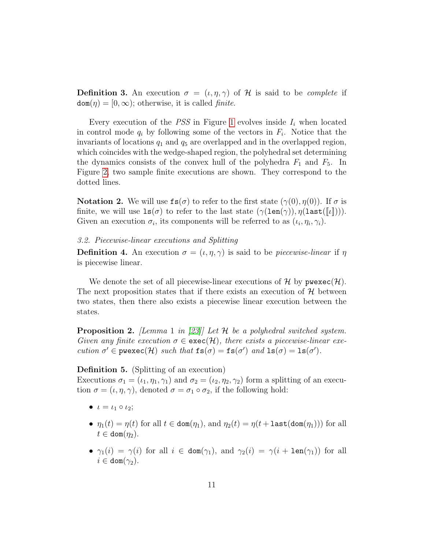**Definition 3.** An execution  $\sigma = (\iota, \eta, \gamma)$  of H is said to be *complete* if  $dom(\eta) = [0, \infty)$ ; otherwise, it is called *finite*.

Every execution of the *PSS* in Figure [1](#page-9-0) evolves inside  $I_i$  when located in control mode  $q_i$  by following some of the vectors in  $F_i$ . Notice that the invariants of locations  $q_1$  and  $q_5$  are overlapped and in the overlapped region, which coincides with the wedge-shaped region, the polyhedral set determining the dynamics consists of the convex hull of the polyhedra  $F_1$  and  $F_5$ . In Figure [2,](#page-9-1) two sample finite executions are shown. They correspond to the dotted lines.

**Notation 2.** We will use  $\text{fs}(\sigma)$  to refer to the first state  $(\gamma(0), \eta(0))$ . If  $\sigma$  is finite, we will use  $\text{ls}(\sigma)$  to refer to the last state  $(\gamma(\text{len}(\gamma)), \eta(\text{last}([\lceil \iota \rceil)))$ . Given an execution  $\sigma_i$ , its components will be referred to as  $(\iota_i, \eta_i, \gamma_i)$ .

## 3.2. Piecewise-linear executions and Splitting

**Definition 4.** An execution  $\sigma = (\iota, \eta, \gamma)$  is said to be *piecewise-linear* if  $\eta$ is piecewise linear.

We denote the set of all piecewise-linear executions of  $\mathcal H$  by  $\mathsf{pwe}$  xec $(\mathcal{H})$ . The next proposition states that if there exists an execution of  $H$  between two states, then there also exists a piecewise linear execution between the states.

<span id="page-10-0"></span>**Proposition 2.** [Lemma 1 in [\[23\]](#page-33-8)] Let  $\mathcal{H}$  be a polyhedral switched system. Given any finite execution  $\sigma \in \text{exec}(\mathcal{H})$ , there exists a piecewise-linear execution  $\sigma' \in \text{pwesec}(\mathcal{H})$  such that  $\text{fs}(\sigma) = \text{fs}(\sigma')$  and  $\text{ls}(\sigma) = \text{ls}(\sigma')$ .

#### Definition 5. (Splitting of an execution)

Executions  $\sigma_1 = (\iota_1, \eta_1, \gamma_1)$  and  $\sigma_2 = (\iota_2, \eta_2, \gamma_2)$  form a splitting of an execution  $\sigma = (\iota, \eta, \gamma)$ , denoted  $\sigma = \sigma_1 \circ \sigma_2$ , if the following hold:

- $\iota = \iota_1 \circ \iota_2;$
- $\eta_1(t) = \eta(t)$  for all  $t \in \text{dom}(\eta_1)$ , and  $\eta_2(t) = \eta(t + \text{last}(\text{dom}(\eta_1)))$  for all  $t \in \text{dom}(\eta_2)$ .
- $\gamma_1(i) = \gamma(i)$  for all  $i \in \text{dom}(\gamma_1)$ , and  $\gamma_2(i) = \gamma(i + \text{len}(\gamma_1))$  for all  $i \in \text{dom}(\gamma_2)$ .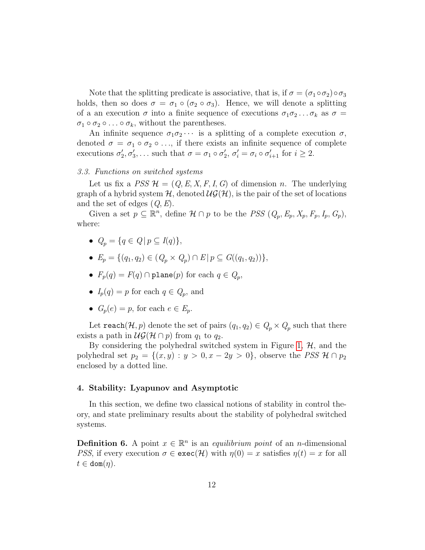Note that the splitting predicate is associative, that is, if  $\sigma = (\sigma_1 \circ \sigma_2) \circ \sigma_3$ holds, then so does  $\sigma = \sigma_1 \circ (\sigma_2 \circ \sigma_3)$ . Hence, we will denote a splitting of a an execution  $\sigma$  into a finite sequence of executions  $\sigma_1 \sigma_2 \dots \sigma_k$  as  $\sigma =$  $\sigma_1 \circ \sigma_2 \circ \ldots \circ \sigma_k$ , without the parentheses.

An infinite sequence  $\sigma_1 \sigma_2 \cdots$  is a splitting of a complete execution  $\sigma$ , denoted  $\sigma = \sigma_1 \circ \sigma_2 \circ \ldots$ , if there exists an infinite sequence of complete executions  $\sigma'_2, \sigma'_3, \ldots$  such that  $\sigma = \sigma_1 \circ \sigma'_2, \sigma'_i = \sigma_i \circ \sigma'_{i+1}$  for  $i \geq 2$ .

# <span id="page-11-0"></span>3.3. Functions on switched systems

Let us fix a  $PSS \mathcal{H} = (Q, E, X, F, I, G)$  of dimension n. The underlying graph of a hybrid system  $H$ , denoted  $\mathcal{UG}(\mathcal{H})$ , is the pair of the set of locations and the set of edges  $(Q, E)$ .

Given a set  $p \subseteq \mathbb{R}^n$ , define  $\mathcal{H} \cap p$  to be the *PSS*  $(Q_p, E_p, X_p, F_p, I_p, G_p)$ , where:

- $Q_p = \{q \in Q \mid p \subset I(q)\},\$
- $E_p = \{ (q_1, q_2) \in (Q_p \times Q_p) \cap E \mid p \subseteq G((q_1, q_2)) \},\$
- $F_p(q) = F(q) \cap \text{plane}(p)$  for each  $q \in Q_p$ ,
- $I_p(q) = p$  for each  $q \in Q_p$ , and
- $G_n(e) = p$ , for each  $e \in E_n$ .

Let  $\mathtt{reach}(\mathcal{H}, p)$  denote the set of pairs  $(q_1, q_2) \in Q_p \times Q_p$  such that there exists a path in  $\mathcal{UG}(\mathcal{H}\cap p)$  from  $q_1$  to  $q_2$ .

By considering the polyhedral switched system in Figure [1,](#page-9-0)  $H$ , and the polyhedral set  $p_2 = \{(x, y) : y > 0, x - 2y > 0\}$ , observe the PSS  $\mathcal{H} \cap p_2$ enclosed by a dotted line.

#### 4. Stability: Lyapunov and Asymptotic

In this section, we define two classical notions of stability in control theory, and state preliminary results about the stability of polyhedral switched systems.

**Definition 6.** A point  $x \in \mathbb{R}^n$  is an *equilibrium point* of an *n*-dimensional *PSS*, if every execution  $\sigma \in \text{exec}(\mathcal{H})$  with  $\eta(0) = x$  satisfies  $\eta(t) = x$  for all  $t \in \text{dom}(\eta)$ .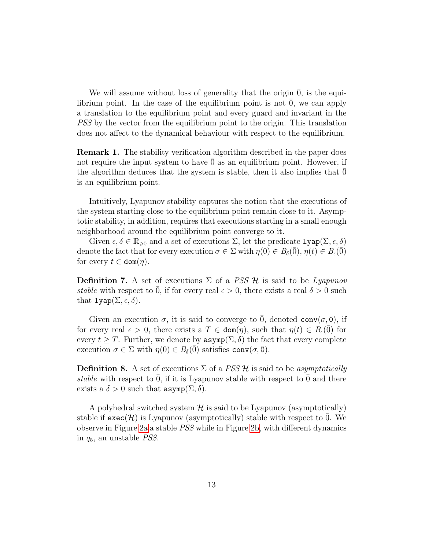We will assume without loss of generality that the origin  $\theta$ , is the equilibrium point. In the case of the equilibrium point is not  $0$ , we can apply a translation to the equilibrium point and every guard and invariant in the PSS by the vector from the equilibrium point to the origin. This translation does not affect to the dynamical behaviour with respect to the equilibrium.

Remark 1. The stability verification algorithm described in the paper does not require the input system to have  $\overline{0}$  as an equilibrium point. However, if the algorithm deduces that the system is stable, then it also implies that  $\theta$ is an equilibrium point.

Intuitively, Lyapunov stability captures the notion that the executions of the system starting close to the equilibrium point remain close to it. Asymptotic stability, in addition, requires that executions starting in a small enough neighborhood around the equilibrium point converge to it.

Given  $\epsilon, \delta \in \mathbb{R}_{\geq 0}$  and a set of executions  $\Sigma$ , let the predicate  $\texttt{lyap}(\Sigma, \epsilon, \delta)$ denote the fact that for every execution  $\sigma \in \Sigma$  with  $\eta(0) \in B_\delta(\overline{0}), \eta(t) \in B_\epsilon(\overline{0})$ for every  $t \in \text{dom}(\eta)$ .

**Definition 7.** A set of executions  $\Sigma$  of a *PSS*  $\mathcal{H}$  is said to be *Lyapunov* stable with respect to  $\overline{0}$ , if for every real  $\epsilon > 0$ , there exists a real  $\delta > 0$  such that  $\texttt{lyap}(\Sigma, \epsilon, \delta)$ .

Given an execution  $\sigma$ , it is said to converge to 0, denoted conv $(\sigma, \bar{0})$ , if for every real  $\epsilon > 0$ , there exists a  $T \in \text{dom}(\eta)$ , such that  $\eta(t) \in B_{\epsilon}(\overline{0})$  for every  $t \geq T$ . Further, we denote by  $\text{asymp}(\Sigma, \delta)$  the fact that every complete execution  $\sigma \in \Sigma$  with  $\eta(0) \in B_\delta(0)$  satisfies conv $(\sigma, \overline{0})$ .

**Definition 8.** A set of executions  $\Sigma$  of a *PSS H* is said to be *asymptotically* stable with respect to  $\overline{0}$ , if it is Lyapunov stable with respect to  $\overline{0}$  and there exists a  $\delta > 0$  such that  $\text{asymp}(\Sigma, \delta)$ .

A polyhedral switched system  $\mathcal H$  is said to be Lyapunov (asymptotically) stable if  $\mathsf{exec}(\mathcal{H})$  is Lyapunov (asymptotically) stable with respect to 0. We observe in Figure [2a](#page-9-1) a stable PSS while in Figure [2b,](#page-9-1) with different dynamics in  $q_5$ , an unstable *PSS*.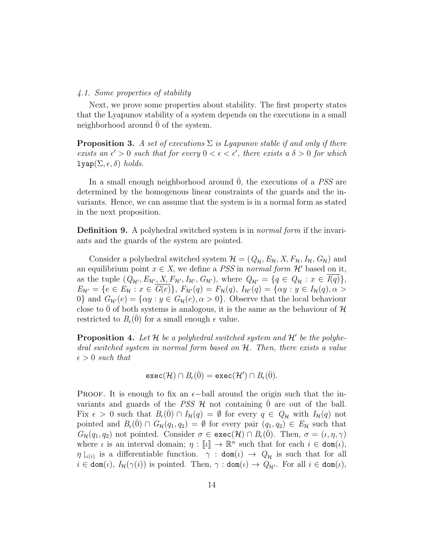#### 4.1. Some properties of stability

Next, we prove some properties about stability. The first property states that the Lyapunov stability of a system depends on the executions in a small neighborhood around 0 of the system.

<span id="page-13-0"></span>**Proposition 3.** A set of executions  $\Sigma$  is Lyapunov stable if and only if there exists an  $\epsilon' > 0$  such that for every  $0 < \epsilon < \epsilon'$ , there exists a  $\delta > 0$  for which lyap( $\Sigma, \epsilon, \delta$ ) holds.

In a small enough neighborhood around  $\overline{0}$ , the executions of a PSS are determined by the homogenous linear constraints of the guards and the invariants. Hence, we can assume that the system is in a normal form as stated in the next proposition.

**Definition 9.** A polyhedral switched system is in *normal form* if the invariants and the guards of the system are pointed.

Consider a polyhedral switched system  $\mathcal{H} = (Q_{\mathcal{H}}, E_{\mathcal{H}}, X, F_{\mathcal{H}}, I_{\mathcal{H}}, G_{\mathcal{H}})$  and an equilibrium point  $x \in X$ , we define a PSS in normal form  $\mathcal{H}'$  based on it, as the tuple  $(Q_{\mathcal{H}'}, E_{\mathcal{H}'}, X, F_{\mathcal{H}'}, I_{\mathcal{H}'}, G_{\mathcal{H}'})$ , where  $Q_{\mathcal{H}'} = \{q \in Q_{\mathcal{H}} : x \in I(q)\},\$  $E_{\mathcal{H}'} = \{e \in E_{\mathcal{H}} : x \in \overline{G(e)}\},\ F_{\mathcal{H}'}(q) = F_{\mathcal{H}}(q),\ I_{\mathcal{H}'}(q) = \{\alpha y : y \in I_{\mathcal{H}}(q), \alpha > \alpha\}$ 0} and  $G_{\mathcal{H}}(e) = {\alpha y : y \in G_{\mathcal{H}}(e), \alpha > 0}$ . Observe that the local behaviour close to 0 of both systems is analogous, it is the same as the behaviour of  $\mathcal H$ restricted to  $B_{\epsilon}(0)$  for a small enough  $\epsilon$  value.

<span id="page-13-1"></span>**Proposition 4.** Let  $\mathcal{H}$  be a polyhedral switched system and  $\mathcal{H}'$  be the polyhedral switched system in normal form based on H. Then, there exists a value  $\epsilon > 0$  such that

$$
\text{exec}(\mathcal{H}) \cap B_{\epsilon}(\bar{0}) = \text{exec}(\mathcal{H}') \cap B_{\epsilon}(\bar{0}).
$$

**PROOF.** It is enough to fix an  $\epsilon$ -ball around the origin such that the invariants and guards of the *PSS*  $H$  not containing 0 are out of the ball. Fix  $\epsilon > 0$  such that  $B_{\epsilon}(\bar{0}) \cap I_{\mathcal{H}}(q) = \emptyset$  for every  $q \in Q_{\mathcal{H}}$  with  $I_{\mathcal{H}}(q)$  not pointed and  $B_{\epsilon}(\overline{0}) \cap G_{\mathcal{H}}(q_1, q_2) = \emptyset$  for every pair  $(q_1, q_2) \in E_{\mathcal{H}}$  such that  $G_{\mathcal{H}}(q_1, q_2)$  not pointed. Consider  $\sigma \in \textsf{exec}(\mathcal{H}) \cap B_{\epsilon}(0)$ . Then,  $\sigma = (\iota, \eta, \gamma)$ where  $\iota$  is an interval domain;  $\eta : [\iota] \to \mathbb{R}^n$  such that for each  $i \in \text{dom}(\iota)$ ,  $\eta \downharpoonright_{\iota(i)}$  is a differentiable function.  $\gamma$ : dom $(\iota) \rightarrow Q_{\mathcal{H}}$  is such that for all  $i \in \text{dom}(\iota), I_H(\gamma(i))$  is pointed. Then,  $\gamma : \text{dom}(\iota) \to Q_{H'}$ . For all  $i \in \text{dom}(\iota)$ ,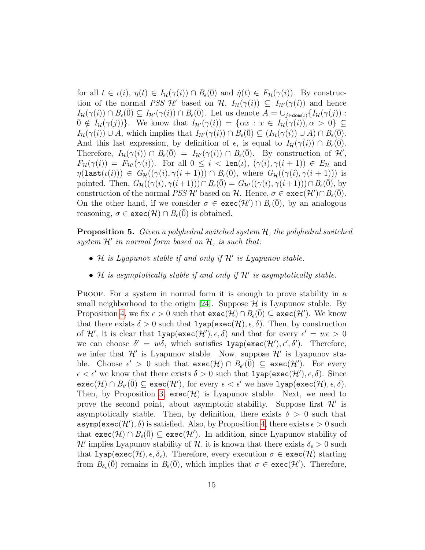for all  $t \in \iota(i)$ ,  $\eta(t) \in I_{\mathcal{H}}(\gamma(i)) \cap B_{\epsilon}(\overline{0})$  and  $\dot{\eta}(t) \in F_{\mathcal{H}}(\gamma(i))$ . By construction of the normal PSS H' based on H,  $I_H(\gamma(i)) \subseteq I_{\mathcal{H}}(\gamma(i))$  and hence  $I_{\mathcal{H}}(\gamma(i)) \cap B_{\epsilon}(\overline{0}) \subseteq I_{\mathcal{H}'}(\gamma(i)) \cap B_{\epsilon}(\overline{0})$ . Let us denote  $A = \cup_{j \in \text{dom}(\iota)} \{I_{\mathcal{H}}(\gamma(j))$ :  $\overline{0} \notin I_{\mathcal{H}}(\gamma(j))\}.$  We know that  $I_{\mathcal{H}'}(\gamma(i)) = \{\alpha x : x \in I_{\mathcal{H}}(\gamma(i)), \alpha > 0\} \subseteq$  $I_H(\gamma(i)) \cup A$ , which implies that  $I_{H'}(\gamma(i)) \cap B_{\epsilon}(\overline{0}) \subseteq (I_H(\gamma(i)) \cup A) \cap B_{\epsilon}(\overline{0}).$ And this last expression, by definition of  $\epsilon$ , is equal to  $I_{\mathcal{H}}(\gamma(i)) \cap B_{\epsilon}(0)$ . Therefore,  $I_{\mathcal{H}}(\gamma(i)) \cap B_{\epsilon}(\overline{0}) = I_{\mathcal{H}'}(\gamma(i)) \cap B_{\epsilon}(\overline{0})$ . By construction of  $\mathcal{H}',$  $F_{\mathcal{H}}(\gamma(i)) = F_{\mathcal{H}'}(\gamma(i))$ . For all  $0 \leq i < \text{len}(i)$ ,  $(\gamma(i), \gamma(i+1)) \in E_{\mathcal{H}}$  and  $\eta(\texttt{last}(\iota(i))) \in G_{\mathcal{H}}((\gamma(i), \gamma(i+1))) \cap B_{\epsilon}(\overline{0}), \text{ where } G_{\mathcal{H}}((\gamma(i), \gamma(i+1))) \text{ is }$ pointed. Then,  $G_{\mathcal{H}}((\gamma(i), \gamma(i+1))) \cap B_{\epsilon}(0) = G_{\mathcal{H}}((\gamma(i), \gamma(i+1))) \cap B_{\epsilon}(0)$ , by construction of the normal  $PSS$  H' based on H. Hence,  $\sigma \in \text{exec}(\mathcal{H}') \cap B_{\epsilon}(\bar{0})$ . On the other hand, if we consider  $\sigma \in \text{exec}(\mathcal{H}') \cap B_{\epsilon}(\overline{0})$ , by an analogous reasoning,  $\sigma \in \text{exec}(\mathcal{H}) \cap B_{\epsilon}(\overline{0})$  is obtained.

**Proposition 5.** Given a polyhedral switched system H, the polyhedral switched  $system \mathcal{H}'$  in normal form based on  $\mathcal{H}$ , is such that:

- $\mathcal H$  is Lyapunov stable if and only if  $\mathcal H'$  is Lyapunov stable.
- $\mathcal H$  is asymptotically stable if and only if  $\mathcal H'$  is asymptotically stable.

PROOF. For a system in normal form it is enough to prove stability in a small neighborhood to the origin [\[24\]](#page-33-9). Suppose  $\mathcal H$  is Lyapunov stable. By Proposition [4,](#page-13-1) we fix  $\epsilon > 0$  such that  $\textsf{exec}(\mathcal{H}) \cap B_{\epsilon}(\overline{0}) \subseteq \textsf{exec}(\mathcal{H}')$ . We know that there exists  $\delta > 0$  such that  $lyap(exec(\mathcal{H}), \epsilon, \delta)$ . Then, by construction of  $\mathcal{H}'$ , it is clear that  $l$ **yap**( $\mathsf{exec}(\mathcal{H}')$ , $\epsilon$ , $\delta$ ) and that for every  $\epsilon' = w\epsilon > 0$ we can choose  $\delta' = w\delta$ , which satisfies  $lyap(exec(\mathcal{H}'), \epsilon', \delta')$ . Therefore, we infer that  $\mathcal{H}'$  is Lyapunov stable. Now, suppose  $\mathcal{H}'$  is Lyapunov stable. Choose  $\epsilon' > 0$  such that  $\text{exec}(\mathcal{H}) \cap B_{\epsilon'}(\overline{0}) \subseteq \text{exec}(\mathcal{H'})$ . For every  $\epsilon < \epsilon'$  we know that there exists  $\delta > 0$  such that  $l$ yap(exec( $\mathcal{H}'$ ),  $\epsilon$ ,  $\delta$ ). Since  $\texttt{exec}(\mathcal{H}) \cap B_{\epsilon'}(\bar{0}) \subseteq \texttt{exec}(\mathcal{H}'), \text{ for every } \epsilon < \epsilon' \text{ we have } \texttt{lyap}(\texttt{exec}(\mathcal{H}), \epsilon, \delta).$ Then, by Proposition [3,](#page-13-0)  $\textsf{exec}(\mathcal{H})$  is Lyapunov stable. Next, we need to prove the second point, about asymptotic stability. Suppose first  $\mathcal{H}'$  is asymptotically stable. Then, by definition, there exists  $\delta > 0$  such that  $\texttt{asymp}(\texttt{exec}(\mathcal{H}'), \delta)$  is satisfied. Also, by Proposition [4,](#page-13-1) there exists  $\epsilon > 0$  such that  $\textsf{exec}(\mathcal{H}) \cap B_{\epsilon}(\bar{0}) \subseteq \textsf{exec}(\mathcal{H}')$ . In addition, since Lyapunov stability of  $\mathcal{H}'$  implies Lyapunov stability of  $\mathcal{H}$ , it is known that there exists  $\delta_{\epsilon} > 0$  such that  $\text{lyap}(\text{exec}(\mathcal{H}), \epsilon, \delta_{\epsilon})$ . Therefore, every execution  $\sigma \in \text{exec}(\mathcal{H})$  starting from  $B_{\delta_{\epsilon}}(\vec{0})$  remains in  $B_{\epsilon}(\vec{0})$ , which implies that  $\sigma \in \text{exec}(\mathcal{H}')$ . Therefore,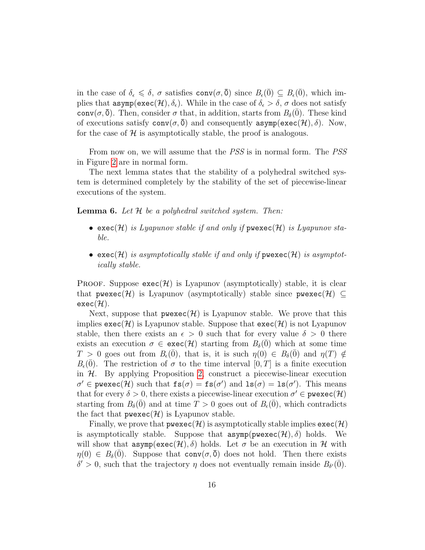in the case of  $\delta_{\epsilon} \leq \delta$ ,  $\sigma$  satisfies  $\text{conv}(\sigma, \overline{0})$  since  $B_{\epsilon}(\overline{0}) \subseteq B_{\epsilon}(\overline{0})$ , which implies that  $\text{asymp}(\text{exec}(\mathcal{H}), \delta_{\epsilon})$ . While in the case of  $\delta_{\epsilon} > \delta$ ,  $\sigma$  does not satisfy conv $(\sigma, \bar{0})$ . Then, consider  $\sigma$  that, in addition, starts from  $B_{\delta}(\bar{0})$ . These kind of executions satisfy  $conv(\sigma, \overline{0})$  and consequently asymp(exec(H),  $\delta$ ). Now, for the case of  $H$  is asymptotically stable, the proof is analogous.

From now on, we will assume that the *PSS* is in normal form. The *PSS* in Figure [2](#page-9-1) are in normal form.

The next lemma states that the stability of a polyhedral switched system is determined completely by the stability of the set of piecewise-linear executions of the system.

**Lemma 6.** Let  $H$  be a polyhedral switched system. Then:

- exec(H) is Lyapunov stable if and only if  $\mathsf{pwexec}(\mathcal{H})$  is Lyapunov stable.
- exec(H) is asymptotically stable if and only if  $\mathsf{pwexe}(H)$  is asymptotically stable.

PROOF. Suppose  $\text{exec}(\mathcal{H})$  is Lyapunov (asymptotically) stable, it is clear that pwexec(H) is Lyapunov (asymptotically) stable since pwexec(H)  $\subseteq$  $exec(\mathcal{H}).$ 

Next, suppose that  $\mathsf{pwexec}(\mathcal{H})$  is Lyapunov stable. We prove that this implies  $\textsf{exec}(\mathcal{H})$  is Lyapunov stable. Suppose that  $\textsf{exec}(\mathcal{H})$  is not Lyapunov stable, then there exists an  $\epsilon > 0$  such that for every value  $\delta > 0$  there exists an execution  $\sigma \in \text{exec}(\mathcal{H})$  starting from  $B_{\delta}(0)$  which at some time  $T > 0$  goes out from  $B_{\epsilon}(\overline{0})$ , that is, it is such  $\eta(0) \in B_{\delta}(\overline{0})$  and  $\eta(T) \notin$  $B_{\epsilon}(0)$ . The restriction of  $\sigma$  to the time interval  $[0, T]$  is a finite execution in  $H$ . By applying Proposition [2,](#page-10-0) construct a piecewise-linear execution  $\sigma' \in \text{pwe}$  xec $(\mathcal{H})$  such that  $\text{fs}(\sigma) = \text{fs}(\sigma')$  and  $\text{ls}(\sigma) = \text{ls}(\sigma')$ . This means that for every  $\delta > 0$ , there exists a piecewise-linear execution  $\sigma' \in \text{pwesec}(\mathcal{H})$ starting from  $B_\delta(0)$  and at time  $T > 0$  goes out of  $B_\epsilon(0)$ , which contradicts the fact that  $\mathsf{pwexec}(\mathcal{H})$  is Lyapunov stable.

Finally, we prove that  $\mathsf{pwexec}(\mathcal{H})$  is asymptotically stable implies  $\mathsf{exec}(\mathcal{H})$ is asymptotically stable. Suppose that  $\text{asymp}(p \text{we} \text{xec}(\mathcal{H}), \delta)$  holds. We will show that  $\text{asym}(e \text{xec}(\mathcal{H}), \delta)$  holds. Let  $\sigma$  be an execution in H with  $\eta(0) \in B_\delta(0)$ . Suppose that conv $(\sigma, \overline{0})$  does not hold. Then there exists  $\delta' > 0$ , such that the trajectory η does not eventually remain inside  $B_{\delta'}(\bar{0})$ .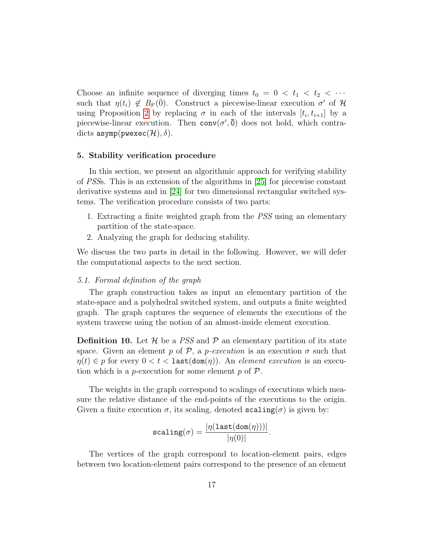Choose an infinite sequence of diverging times  $t_0 = 0 < t_1 < t_2 < \cdots$ such that  $\eta(t_i) \notin B_{\delta'}(\bar{0})$ . Construct a piecewise-linear execution  $\sigma'$  of H using Proposition [2](#page-10-0) by replacing  $\sigma$  in each of the intervals  $[t_i, t_{i+1}]$  by a piecewise-linear execution. Then  $conv(\sigma', \overline{0})$  does not hold, which contradicts asymp( $\text{pwexec}(\mathcal{H}), \delta$ ).

## 5. Stability verification procedure

In this section, we present an algorithmic approach for verifying stability of PSSs. This is an extension of the algorithms in [\[25\]](#page-34-0) for piecewise constant derivative systems and in [\[24\]](#page-33-9) for two dimensional rectangular switched systems. The verification procedure consists of two parts:

- 1. Extracting a finite weighted graph from the PSS using an elementary partition of the state-space.
- 2. Analyzing the graph for deducing stability.

We discuss the two parts in detail in the following. However, we will defer the computational aspects to the next section.

#### <span id="page-16-0"></span>5.1. Formal definition of the graph

The graph construction takes as input an elementary partition of the state-space and a polyhedral switched system, and outputs a finite weighted graph. The graph captures the sequence of elements the executions of the system traverse using the notion of an almost-inside element execution.

**Definition 10.** Let  $\mathcal{H}$  be a PSS and  $\mathcal{P}$  an elementary partition of its state space. Given an element p of  $P$ , a p-execution is an execution  $\sigma$  such that  $\eta(t) \in p$  for every  $0 < t <$  last $(\text{dom}(\eta))$ . An *element execution* is an execution which is a *p*-execution for some element  $p$  of  $\mathcal{P}$ .

The weights in the graph correspond to scalings of executions which measure the relative distance of the end-points of the executions to the origin. Given a finite execution  $\sigma$ , its scaling, denoted scaling( $\sigma$ ) is given by:

$$
\texttt{scaling}(\sigma) = \frac{|\eta(\texttt{last}(\texttt{dom}(\eta)))|}{|\eta(0)|}.
$$

The vertices of the graph correspond to location-element pairs, edges between two location-element pairs correspond to the presence of an element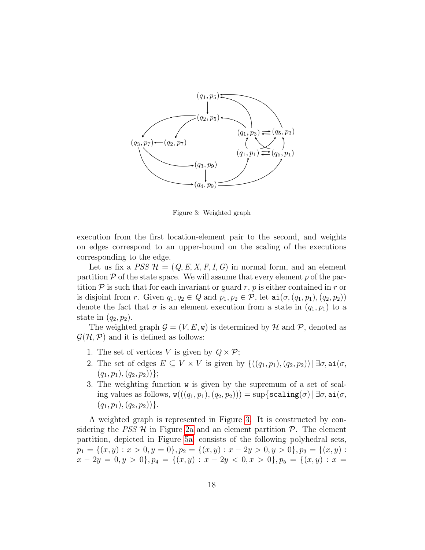<span id="page-17-0"></span>

Figure 3: Weighted graph

execution from the first location-element pair to the second, and weights on edges correspond to an upper-bound on the scaling of the executions corresponding to the edge.

Let us fix a  $PSS \mathcal{H} = (Q, E, X, F, I, G)$  in normal form, and an element partition  $P$  of the state space. We will assume that every element p of the partition  $P$  is such that for each invariant or guard r, p is either contained in r or is disjoint from r. Given  $q_1, q_2 \in Q$  and  $p_1, p_2 \in \mathcal{P}$ , let  $\text{ai}(\sigma, (q_1, p_1), (q_2, p_2))$ denote the fact that  $\sigma$  is an element execution from a state in  $(q_1, p_1)$  to a state in  $(q_2, p_2)$ .

The weighted graph  $\mathcal{G} = (V, E, \mathbf{w})$  is determined by H and P, denoted as  $\mathcal{G}(\mathcal{H}, \mathcal{P})$  and it is defined as follows:

- 1. The set of vertices V is given by  $Q \times \mathcal{P}$ ;
- 2. The set of edges  $E \subseteq V \times V$  is given by  $\{((q_1, p_1), (q_2, p_2)) | \exists \sigma, \text{ai}(\sigma,$  $(q_1, p_1), (q_2, p_2))\};$
- 3. The weighting function w is given by the supremum of a set of scaling values as follows,  $w(((q_1, p_1), (q_2, p_2))) = \sup\{\texttt{scaling}(\sigma) | \exists \sigma, \texttt{ai}(\sigma,$  $(q_1, p_1), (q_2, p_2))\}.$

A weighted graph is represented in Figure [3.](#page-17-0) It is constructed by considering the PSS  $\mathcal{H}$  in Figure [2a](#page-9-1) and an element partition  $\mathcal{P}$ . The element partition, depicted in Figure [5a,](#page-30-0) consists of the following polyhedral sets,  $p_1 = \{(x, y) : x > 0, y = 0\}, p_2 = \{(x, y) : x - 2y > 0, y > 0\}, p_3 = \{(x, y) : x > 0, y > 0\}$  $x - 2y = 0, y > 0$ ,  $p_4 = \{(x, y) : x - 2y < 0, x > 0\}$ ,  $p_5 = \{(x, y) : x = 0\}$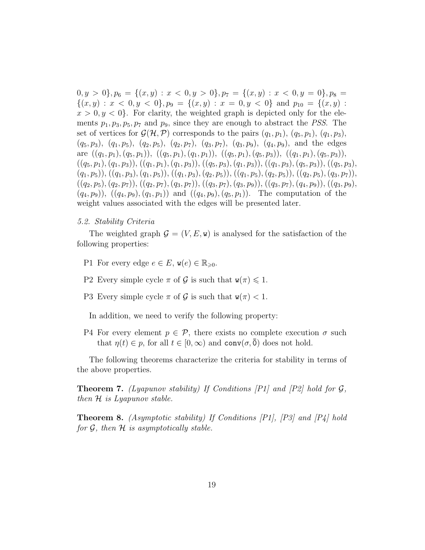$0, y > 0$ ,  $p_6 = \{(x, y) : x < 0, y > 0\}$ ,  $p_7 = \{(x, y) : x < 0, y = 0\}$ ,  $p_8 =$  $\{(x,y): x < 0, y < 0\}, p_9 = \{(x,y): x = 0, y < 0\}$  and  $p_{10} = \{(x,y): x < 0, y < 0\}$  $x > 0, y < 0$ . For clarity, the weighted graph is depicted only for the elements  $p_1, p_3, p_5, p_7$  and  $p_9$ , since they are enough to abstract the *PSS*. The set of vertices for  $\mathcal{G}(\mathcal{H}, \mathcal{P})$  corresponds to the pairs  $(q_1, p_1), (q_5, p_1), (q_1, p_3),$  $(q_5, p_3), (q_1, p_5), (q_2, p_5), (q_2, p_7), (q_3, p_7), (q_3, p_9), (q_4, p_9),$  and the edges are  $((q_1, p_1), (q_5, p_1)), ((q_5, p_1), (q_1, p_1)), ((q_5, p_1), (q_5, p_3)), ((q_1, p_1), (q_5, p_3)),$  $((q_5, p_1), (q_1, p_3)), ((q_1, p_1), (q_1, p_3)), ((q_5, p_3), (q_1, p_3)), ((q_1, p_3), (q_5, p_3)), ((q_5, p_3),$  $(q_1, p_5)$ ),  $((q_1, p_3), (q_1, p_5))$ ,  $((q_1, p_3), (q_2, p_5))$ ,  $((q_1, p_5), (q_2, p_5))$ ,  $((q_2, p_5), (q_3, p_7))$ ,  $((q_2, p_5), (q_2, p_7)), ((q_2, p_7), (q_3, p_7)), ((q_3, p_7), (q_3, p_9)), ((q_3, p_7), (q_4, p_9)), ((q_3, p_9),$  $(q_4, p_9)$ ,  $((q_4, p_9), (q_1, p_1))$  and  $((q_4, p_9), (q_5, p_1))$ . The computation of the weight values associated with the edges will be presented later.

## 5.2. Stability Criteria

The weighted graph  $\mathcal{G} = (V, E, \mathbf{w})$  is analysed for the satisfaction of the following properties:

- P1 For every edge  $e \in E$ ,  $\mathbf{w}(e) \in \mathbb{R}_{\geq 0}$ .
- P2 Every simple cycle  $\pi$  of  $\mathcal G$  is such that  $\mathbf w(\pi) \leq 1$ .
- P3 Every simple cycle  $\pi$  of  $\mathcal G$  is such that  $w(\pi) < 1$ .

In addition, we need to verify the following property:

P4 For every element  $p \in \mathcal{P}$ , there exists no complete execution  $\sigma$  such that  $\eta(t) \in p$ , for all  $t \in [0,\infty)$  and  $\text{conv}(\sigma,\overline{0})$  does not hold.

The following theorems characterize the criteria for stability in terms of the above properties.

<span id="page-18-0"></span>**Theorem 7.** (Lyapunov stability) If Conditions  $[PI]$  and  $[P2]$  hold for  $\mathcal{G}$ , then  $H$  is Lyapunov stable.

<span id="page-18-1"></span>**Theorem 8.** (Asymptotic stability) If Conditions  $[PI]$ ,  $[PS]$  and  $[PI]$  hold for  $\mathcal G$ , then  $\mathcal H$  is asymptotically stable.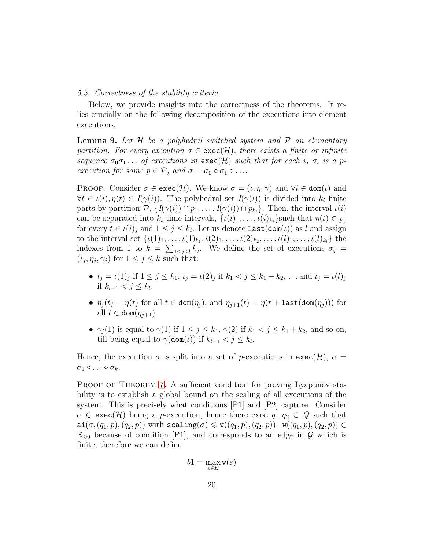#### 5.3. Correctness of the stability criteria

Below, we provide insights into the correctness of the theorems. It relies crucially on the following decomposition of the executions into element executions.

**Lemma 9.** Let  $H$  be a polyhedral switched system and  $P$  an elementary partition. For every execution  $\sigma \in \text{exec}(\mathcal{H})$ , there exists a finite or infinite sequence  $\sigma_0\sigma_1\ldots$  of executions in  $\textsf{exec}(\mathcal{H})$  such that for each i,  $\sigma_i$  is a pexecution for some  $p \in \mathcal{P}$ , and  $\sigma = \sigma_0 \circ \sigma_1 \circ \ldots$ 

**PROOF.** Consider  $\sigma \in \text{exec}(\mathcal{H})$ . We know  $\sigma = (\iota, \eta, \gamma)$  and  $\forall i \in \text{dom}(\iota)$  and  $\forall t \in \iota(i), \eta(t) \in I(\gamma(i))$ . The polyhedral set  $I(\gamma(i))$  is divided into  $k_i$  finite parts by partition  $P$ ,  $\{I(\gamma(i)) \cap p_1, \ldots, I(\gamma(i)) \cap p_{k_i}\}$ . Then, the interval  $\iota(i)$ can be separated into  $k_i$  time intervals,  $\{u(i)_1, \ldots, u(i)_{k_i}\}$  such that  $\eta(t) \in p_j$ for every  $t \in \iota(i)_j$  and  $1 \leq j \leq k_i$ . Let us denote  $\mathtt{last}(\mathtt{dom}(\iota))$  as l and assign to the interval set  $\{\iota(1)_1, \ldots, \iota(1)_{k_1}, \iota(2)_1, \ldots, \iota(2)_{k_2}, \ldots, \iota(l)_1, \ldots, \iota(l)_{k_l}\}\$ the indexes from 1 to  $k = \sum_{1 \leq j \leq l} k_j$ . We define the set of executions  $\sigma_j =$  $(\iota_j, \eta_j, \gamma_j)$  for  $1 \leq j \leq k$  such that:

- $\iota_j = \iota(1)_j$  if  $1 \le j \le k_1$ ,  $\iota_j = \iota(2)_j$  if  $k_1 < j \le k_1 + k_2$ , ... and  $\iota_j = \iota(l)_j$ if  $k_{l-1} < j \leq k_l$ ,
- $\eta_i(t) = \eta(t)$  for all  $t \in \text{dom}(\eta_i)$ , and  $\eta_{i+1}(t) = \eta(t + \text{last}(\text{dom}(\eta_i)))$  for all  $t \in \text{dom}(\eta_{i+1})$ .
- $\gamma_i(1)$  is equal to  $\gamma(1)$  if  $1 \leq j \leq k_1$ ,  $\gamma(2)$  if  $k_1 < j \leq k_1 + k_2$ , and so on, till being equal to  $\gamma(\text{dom}(\iota))$  if  $k_{l-1} < j \leq k_l$ .

Hence, the execution  $\sigma$  is split into a set of p-executions in  $\text{exec}(\mathcal{H})$ ,  $\sigma =$  $\sigma_1 \circ \ldots \circ \sigma_k$ .

PROOF OF THEOREM [7.](#page-18-0) A sufficient condition for proving Lyapunov stability is to establish a global bound on the scaling of all executions of the system. This is precisely what conditions [P1] and [P2] capture. Consider  $\sigma \in \text{exec}(\mathcal{H})$  being a p-execution, hence there exist  $q_1, q_2 \in Q$  such that  $a$ i $(\sigma,(q_1,p),(q_2,p))$  with scaling $(\sigma) \leq w((q_1,p),(q_2,p))$ .  $w((q_1,p),(q_2,p)) \in$  $\mathbb{R}_{\geqslant 0}$  because of condition [P1], and corresponds to an edge in  $\mathcal G$  which is finite; therefore we can define

$$
b1 = \max_{e \in E} \mathbf{w}(e)
$$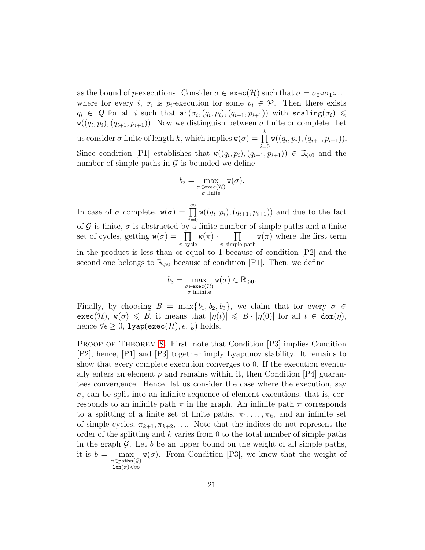as the bound of p-executions. Consider  $\sigma \in \text{exec}(\mathcal{H})$  such that  $\sigma = \sigma_0 \circ \sigma_1 \circ \ldots$ where for every *i*,  $\sigma_i$  is  $p_i$ -execution for some  $p_i \in \mathcal{P}$ . Then there exists  $q_i \in Q$  for all i such that  $\text{ai}(\sigma_i, (q_i, p_i), (q_{i+1}, p_{i+1}))$  with  $\text{scaling}(\sigma_i) \leq$  $\mathbf{w}((q_i, p_i), (q_{i+1}, p_{i+1}))$ . Now we distinguish between  $\sigma$  finite or complete. Let us consider  $\sigma$  finite of length k, which implies  $\mathbf{w}(\sigma) = \prod^{k}$  $i=0$  $w((q_i, p_i), (q_{i+1}, p_{i+1})).$ Since condition [P1] establishes that  $w((q_i, p_i), (q_{i+1}, p_{i+1})) \in \mathbb{R}_{\geq 0}$  and the number of simple paths in  $\mathcal G$  is bounded we define

$$
b_2 = \max_{\substack{\sigma \in \text{exec}(\mathcal{H}) \\ \sigma \text{ finite}}} \mathbf{w}(\sigma).
$$

In case of  $\sigma$  complete,  $\mathbf{w}(\sigma) = \prod_{n=1}^{\infty}$  $i=0$  $w((q_i, p_i), (q_{i+1}, p_{i+1}))$  and due to the fact of  $G$  is finite,  $\sigma$  is abstracted by a finite number of simple paths and a finite set of cycles, getting  $w(\sigma) = \prod$  $\prod_{\pi \text{ cycle}} \mathsf{w}(\pi) \cdot \prod_{\pi \text{ simple}}$  $\pi$  simple path  $w(\pi)$  where the first term in the product is less than or equal to 1 because of condition  $[P2]$  and the second one belongs to  $\mathbb{R}_{\geqslant 0}$  because of condition [P1]. Then, we define

$$
b_3=\max_{\substack{\sigma\in\text{exec}(\mathcal{H})\\\sigma\text{ infinite}}}\mathtt{w}(\sigma)\in\mathbb{R}_{\geqslant 0}.
$$

Finally, by choosing  $B = \max\{b_1, b_2, b_3\}$ , we claim that for every  $\sigma \in$  $\textsf{exec}(\mathcal{H}), \mathbf{w}(\sigma) \leq B, \text{ it means that } |\eta(t)| \leq B \cdot |\eta(0)| \text{ for all } t \in \textsf{dom}(\eta),$ hence  $\forall \epsilon \geq 0$ , 1yap(exec $(\mathcal{H}), \epsilon, \frac{\epsilon}{B}$ ) holds.

PROOF OF THEOREM [8.](#page-18-1) First, note that Condition [P3] implies Condition [P2], hence, [P1] and [P3] together imply Lyapunov stability. It remains to show that every complete execution converges to 0. If the execution eventually enters an element  $p$  and remains within it, then Condition  $[P4]$  guarantees convergence. Hence, let us consider the case where the execution, say  $\sigma$ , can be split into an infinite sequence of element executions, that is, corresponds to an infinite path  $\pi$  in the graph. An infinite path  $\pi$  corresponds to a splitting of a finite set of finite paths,  $\pi_1, \ldots, \pi_k$ , and an infinite set of simple cycles,  $\pi_{k+1}, \pi_{k+2}, \ldots$  Note that the indices do not represent the order of the splitting and  $k$  varies from 0 to the total number of simple paths in the graph  $\mathcal G$ . Let b be an upper bound on the weight of all simple paths, it is  $b =$  $\max_{\pi \in \texttt{paths}(\mathcal{G})} \mathbf{w}(\sigma)$ . From Condition [P3], we know that the weight of  $len(\pi) < \infty$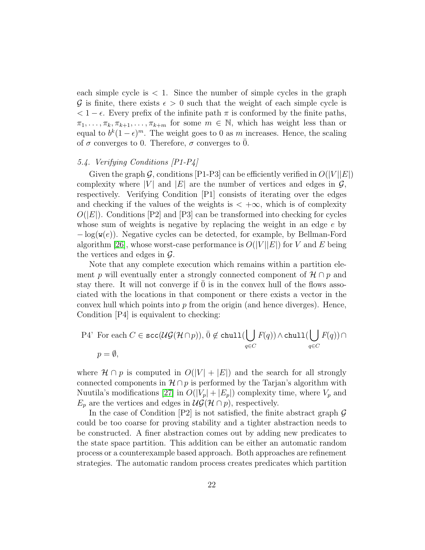each simple cycle is  $\lt 1$ . Since the number of simple cycles in the graph G is finite, there exists  $\epsilon > 0$  such that the weight of each simple cycle is  $< 1 - \epsilon$ . Every prefix of the infinite path  $\pi$  is conformed by the finite paths,  $\pi_1, \ldots, \pi_k, \pi_{k+1}, \ldots, \pi_{k+m}$  for some  $m \in \mathbb{N}$ , which has weight less than or equal to  $b^k(1-\epsilon)^m$ . The weight goes to 0 as m increases. Hence, the scaling of  $\sigma$  converges to 0. Therefore,  $\sigma$  converges to  $\overline{0}$ .

# 5.4. Verifying Conditions [P1-P4]

Given the graph G, conditions [P1-P3] can be efficiently verified in  $O(|V||E|)$ complexity where |V| and |E| are the number of vertices and edges in  $\mathcal{G}$ , respectively. Verifying Condition [P1] consists of iterating over the edges and checking if the values of the weights is  $\lt +\infty$ , which is of complexity  $O(|E|)$ . Conditions [P2] and [P3] can be transformed into checking for cycles whose sum of weights is negative by replacing the weight in an edge e by  $-\log(\mathbf{w}(e))$ . Negative cycles can be detected, for example, by Bellman-Ford algorithm [\[26\]](#page-34-1), whose worst-case performance is  $O(|V||E|)$  for V and E being the vertices and edges in  $\mathcal{G}$ .

Note that any complete execution which remains within a partition element p will eventually enter a strongly connected component of  $\mathcal{H} \cap p$  and stay there. It will not converge if 0 is in the convex hull of the flows associated with the locations in that component or there exists a vector in the convex hull which points into  $p$  from the origin (and hence diverges). Hence, Condition [P4] is equivalent to checking:

P4' For each 
$$
C \in \text{scc}(\mathcal{UG}(\mathcal{H} \cap p)), \bar{0} \notin \text{chull}(\bigcup_{q \in C} F(q)) \wedge \text{chull}(\bigcup_{q \in C} F(q)) \cap
$$
  
 $p = \emptyset$ ,

where  $\mathcal{H} \cap p$  is computed in  $O(|V| + |E|)$  and the search for all strongly connected components in  $\mathcal{H} \cap p$  is performed by the Tarjan's algorithm with Nuutila's modifications [\[27\]](#page-34-2) in  $O(|V_p| + |E_p|)$  complexity time, where  $V_p$  and  $E_p$  are the vertices and edges in  $\mathcal{UG}(\mathcal{H} \cap p)$ , respectively.

In the case of Condition  $[P2]$  is not satisfied, the finite abstract graph  $\mathcal G$ could be too coarse for proving stability and a tighter abstraction needs to be constructed. A finer abstraction comes out by adding new predicates to the state space partition. This addition can be either an automatic random process or a counterexample based approach. Both approaches are refinement strategies. The automatic random process creates predicates which partition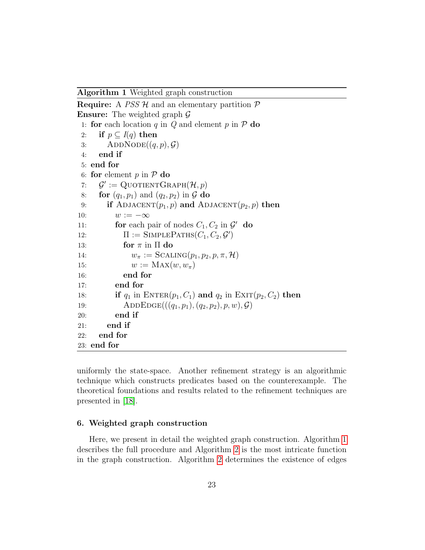<span id="page-22-0"></span>Algorithm 1 Weighted graph construction

```
Require: A PSS H and an elementary partition PEnsure: The weighted graph \mathcal{G}1: for each location q in Q and element p in \mathcal{P} do<br>2: if p \subset I(q) then
 2: if p \subseteq I(q) then<br>3: ADDNODE((q,
 3: ADDNODE((q, p), \mathcal{G})<br>4: end if
       end if
 5: end for
 6: for element p in P do<br>7: Q' := \text{Quotient} G7: \mathcal{G}' := \text{QuotientGraph}(\mathcal{H}, p)8: for (q_1, p_1) and (q_2, p_2) in G do<br>9: if ADJACENT(p_1, p) and AD
          if ADJACENT(p_1, p) and ADJACENT(p_2, p) then
10: w := -\infty<br>11: for each p
11: for each pair of nodes C_1, C_2 in \mathcal{G}' do
12: \Pi := \text{SIMPLEPATHs}(C_1, C_2, \mathcal{G}')13: for \pi in \Pi do
14: w_{\pi} := \text{Scaling}(p_1, p_2, p, \pi, \mathcal{H})15: w := \text{MAX}(w, w_{\pi})16: end for
17: end for
18: if q_1 in \text{ENTER}(p_1, C_1) and q_2 in \text{EXT}(p_2, C_2) then
19: ADDEDGE(((q_1, p_1), (q_2, p_2), p, w), \mathcal{G})<br>20: end if
             end if
21: end if
22: end for
23: end for
```
uniformly the state-space. Another refinement strategy is an algorithmic technique which constructs predicates based on the counterexample. The theoretical foundations and results related to the refinement techniques are presented in [\[18\]](#page-33-3).

## 6. Weighted graph construction

Here, we present in detail the weighted graph construction. Algorithm [1](#page-22-0) describes the full procedure and Algorithm [2](#page-24-0) is the most intricate function in the graph construction. Algorithm [2](#page-24-0) determines the existence of edges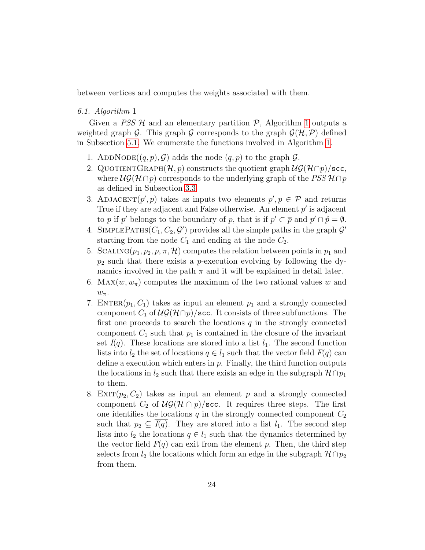between vertices and computes the weights associated with them.

# 6.1. Algorithm 1

Given a PSS  $H$  and an elementary partition  $P$ , Algorithm [1](#page-22-0) outputs a weighted graph G. This graph G corresponds to the graph  $\mathcal{G}(\mathcal{H}, \mathcal{P})$  defined in Subsection [5.1.](#page-16-0) We enumerate the functions involved in Algorithm [1.](#page-22-0)

- 1. ADDNODE $((q, p), \mathcal{G})$  adds the node  $(q, p)$  to the graph  $\mathcal{G}$ .
- 2. QUOTIENTGRAPH $(H, p)$  constructs the quotient graph  $\mathcal{UG}(H \cap p)/$ scc, where  $\mathcal{UG}(\mathcal{H}\cap p)$  corresponds to the underlying graph of the PSS  $\mathcal{H}\cap p$ as defined in Subsection [3.3.](#page-11-0)
- 3. ADJACENT $(p', p)$  takes as inputs two elements  $p', p \in \mathcal{P}$  and returns True if they are adjacent and False otherwise. An element  $p'$  is adjacent to p if p' belongs to the boundary of p, that is if  $p' \subset \overline{p}$  and  $p' \cap \mathring{p} = \emptyset$ .
- 4. SIMPLEPATHS $(C_1, C_2, \mathcal{G}')$  provides all the simple paths in the graph  $\mathcal{G}'$ starting from the node  $C_1$  and ending at the node  $C_2$ .
- 5. SCALING( $p_1, p_2, p, \pi, \mathcal{H}$ ) computes the relation between points in  $p_1$  and  $p_2$  such that there exists a *p*-execution evolving by following the dynamics involved in the path  $\pi$  and it will be explained in detail later.
- 6. MAX $(w, w_\pi)$  computes the maximum of the two rational values w and  $w_{\pi}$ .
- 7. ENTER $(p_1, C_1)$  takes as input an element  $p_1$  and a strongly connected component  $C_1$  of  $\mathcal{UG}(\mathcal{H}\cap p)/\text{sec}$ . It consists of three subfunctions. The first one proceeds to search the locations  $q$  in the strongly connected component  $C_1$  such that  $p_1$  is contained in the closure of the invariant set  $I(q)$ . These locations are stored into a list  $l_1$ . The second function lists into  $l_2$  the set of locations  $q \in l_1$  such that the vector field  $F(q)$  can define a execution which enters in  $p$ . Finally, the third function outputs the locations in  $l_2$  such that there exists an edge in the subgraph  $\mathcal{H} \cap p_1$ to them.
- 8. EXIT $(p_2, C_2)$  takes as input an element p and a strongly connected component  $C_2$  of  $\mathcal{UG}(\mathcal{H} \cap p)/\text{sec}$ . It requires three steps. The first one identifies the locations  $q$  in the strongly connected component  $C_2$ such that  $p_2 \subseteq I(q)$ . They are stored into a list  $l_1$ . The second step lists into  $l_2$  the locations  $q \in l_1$  such that the dynamics determined by the vector field  $F(q)$  can exit from the element p. Then, the third step selects from  $l_2$  the locations which form an edge in the subgraph  $\mathcal{H} \cap p_2$ from them.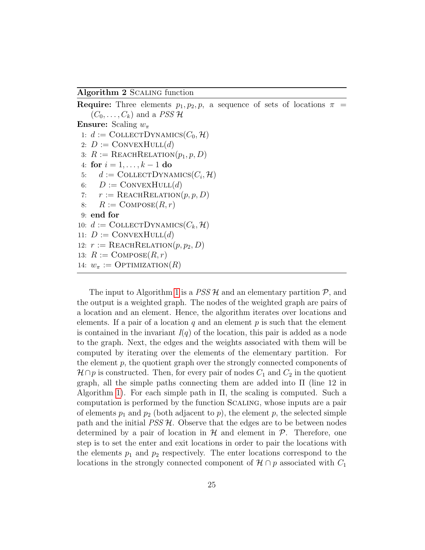<span id="page-24-0"></span>Algorithm 2 Scaling function

```
Require: Three elements p_1, p_2, p, a sequence of sets of locations \pi =
    (C_0, \ldots, C_k) and a PSS H
Ensure: Scaling w_{\pi}1: d := \text{COLLECTDYNAMICS}(C_0, \mathcal{H})2: D := \text{ConvexHull}(d)3: R := \text{REACHRELATION}(p_1, p, D)4: for i = 1, ..., k - 1 do<br>5: d := \text{COLLECTDYNA}5: d := \text{COLLECTD</del>text{YNAMICS}}(C_i, \mathcal{H})6: D := \text{ConvexHull}(d)7: r := \text{REACHRELATION}(p, p, D)8: R := \text{COMPOSE}(R, r)9: end for
10: d := \text{COLLECTDYNAMICS}(C_k, \mathcal{H})11: D := \text{ConvexHull}(d)12: r := \text{REACHRELATION}(p, p_2, D)13: R := \text{COMPOSE}(R, r)14: w_{\pi} := \text{OPTIMIZATION}(R)
```
The input to Algorithm [1](#page-22-0) is a  $PSS\mathcal{H}$  and an elementary partition  $\mathcal{P}$ , and the output is a weighted graph. The nodes of the weighted graph are pairs of a location and an element. Hence, the algorithm iterates over locations and elements. If a pair of a location q and an element  $p$  is such that the element is contained in the invariant  $I(q)$  of the location, this pair is added as a node to the graph. Next, the edges and the weights associated with them will be computed by iterating over the elements of the elementary partition. For the element  $p$ , the quotient graph over the strongly connected components of  $\mathcal{H} \cap p$  is constructed. Then, for every pair of nodes  $C_1$  and  $C_2$  in the quotient graph, all the simple paths connecting them are added into Π (line 12 in Algorithm [1\)](#page-22-0). For each simple path in Π, the scaling is computed. Such a computation is performed by the function Scaling, whose inputs are a pair of elements  $p_1$  and  $p_2$  (both adjacent to p), the element p, the selected simple path and the initial  $PSS \mathcal{H}$ . Observe that the edges are to be between nodes determined by a pair of location in  $\mathcal{H}$  and element in  $\mathcal{P}$ . Therefore, one step is to set the enter and exit locations in order to pair the locations with the elements  $p_1$  and  $p_2$  respectively. The enter locations correspond to the locations in the strongly connected component of  $\mathcal{H} \cap p$  associated with  $C_1$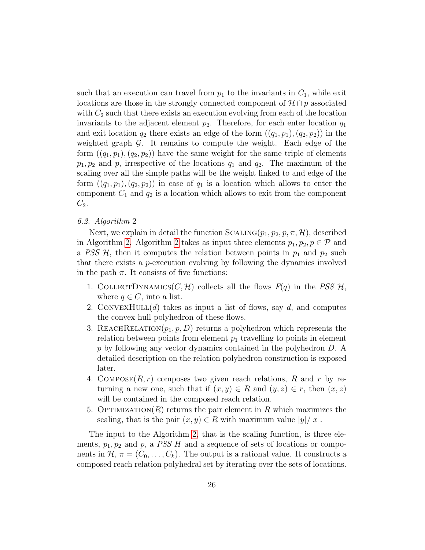such that an execution can travel from  $p_1$  to the invariants in  $C_1$ , while exit locations are those in the strongly connected component of  $\mathcal{H} \cap p$  associated with  $C_2$  such that there exists an execution evolving from each of the location invariants to the adjacent element  $p_2$ . Therefore, for each enter location  $q_1$ and exit location  $q_2$  there exists an edge of the form  $((q_1, p_1), (q_2, p_2))$  in the weighted graph  $G$ . It remains to compute the weight. Each edge of the form  $((q_1, p_1), (q_2, p_2))$  have the same weight for the same triple of elements  $p_1, p_2$  and p, irrespective of the locations  $q_1$  and  $q_2$ . The maximum of the scaling over all the simple paths will be the weight linked to and edge of the form  $((q_1, p_1), (q_2, p_2))$  in case of  $q_1$  is a location which allows to enter the component  $C_1$  and  $q_2$  is a location which allows to exit from the component  $C_2$ .

# 6.2. Algorithm 2

Next, we explain in detail the function  $SCALING(p_1, p_2, p, \pi, \mathcal{H})$ , described in Algorithm [2.](#page-24-0) Algorithm [2](#page-24-0) takes as input three elements  $p_1, p_2, p \in \mathcal{P}$  and a PSS  $H$ , then it computes the relation between points in  $p_1$  and  $p_2$  such that there exists a p-execution evolving by following the dynamics involved in the path  $\pi$ . It consists of five functions:

- 1. COLLECTDYNAMICS(C, H) collects all the flows  $F(q)$  in the PSS  $H$ , where  $q \in C$ , into a list.
- 2. CONVEXHULL $(d)$  takes as input a list of flows, say d, and computes the convex hull polyhedron of these flows.
- 3. REACHRELATION( $p_1, p, D$ ) returns a polyhedron which represents the relation between points from element  $p_1$  travelling to points in element p by following any vector dynamics contained in the polyhedron D. A detailed description on the relation polyhedron construction is exposed later.
- 4. COMPOSE $(R, r)$  composes two given reach relations, R and r by returning a new one, such that if  $(x, y) \in R$  and  $(y, z) \in r$ , then  $(x, z)$ will be contained in the composed reach relation.
- 5. OPTIMIZATION(R) returns the pair element in R which maximizes the scaling, that is the pair  $(x, y) \in R$  with maximum value  $|y|/|x|$ .

The input to the Algorithm [2,](#page-24-0) that is the scaling function, is three elements,  $p_1, p_2$  and p, a *PSS H* and a sequence of sets of locations or components in  $\mathcal{H}, \pi = (C_0, \ldots, C_k)$ . The output is a rational value. It constructs a composed reach relation polyhedral set by iterating over the sets of locations.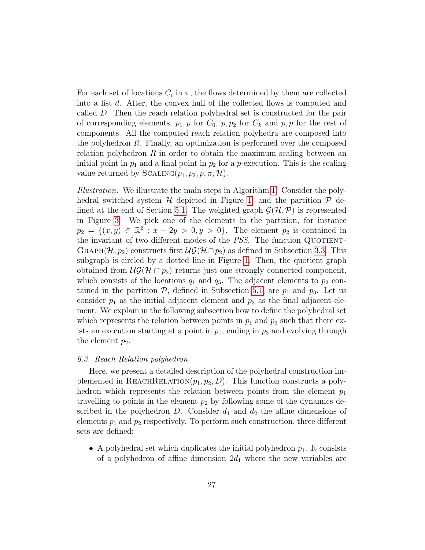For each set of locations  $C_i$  in  $\pi$ , the flows determined by them are collected into a list d. After, the convex hull of the collected flows is computed and called D. Then the reach relation polyhedral set is constructed for the pair of corresponding elements,  $p_1, p$  for  $C_0, p, p_2$  for  $C_k$  and  $p, p$  for the rest of components. All the computed reach relation polyhedra are composed into the polyhedron R. Finally, an optimization is performed over the composed relation polyhedron  $R$  in order to obtain the maximum scaling between an initial point in  $p_1$  and a final point in  $p_2$  for a *p*-execution. This is the scaling value returned by  $SCALING(p_1, p_2, p, \pi, \mathcal{H})$ .

Illustration. We illustrate the main steps in Algorithm [1.](#page-22-0) Consider the polyhedral switched system  $H$  depicted in Figure [1,](#page-9-0) and the partition  $P$  de-fined at the end of Section [5.1.](#page-16-0) The weighted graph  $\mathcal{G}(\mathcal{H}, \mathcal{P})$  is represented in Figure [3.](#page-17-0) We pick one of the elements in the partition, for instance  $p_2 = \{(x, y) \in \mathbb{R}^2 : x - 2y > 0, y > 0\}.$  The element  $p_2$  is contained in the invariant of two different modes of the  $PSS$ . The function QUOTIENT-GRAPH( $\mathcal{H}, p_2$ ) constructs first  $\mathcal{UG}(\mathcal{H} \cap p_2)$  as defined in Subsection [3.3.](#page-11-0) This subgraph is circled by a dotted line in Figure [1.](#page-9-0) Then, the quotient graph obtained from  $\mathcal{UG}(\mathcal{H} \cap p_2)$  returns just one strongly connected component, which consists of the locations  $q_1$  and  $q_5$ . The adjacent elements to  $p_2$  contained in the partition  $P$ , defined in Subsection [5.1,](#page-16-0) are  $p_1$  and  $p_3$ . Let us consider  $p_1$  as the initial adjacent element and  $p_3$  as the final adjacent element. We explain in the following subsection how to define the polyhedral set which represents the relation between points in  $p_1$  and  $p_3$  such that there exists an execution starting at a point in  $p_1$ , ending in  $p_3$  and evolving through the element  $p_2$ .

## 6.3. Reach Relation polyhedron

Here, we present a detailed description of the polyhedral construction implemented in REACHRELATION $(p_1, p_2, D)$ . This function constructs a polyhedron which represents the relation between points from the element  $p_1$ travelling to points in the element  $p_2$  by following some of the dynamics described in the polyhedron D. Consider  $d_1$  and  $d_2$  the affine dimensions of elements  $p_1$  and  $p_2$  respectively. To perform such construction, three different sets are defined:

• A polyhedral set which duplicates the initial polyhedron  $p_1$ . It consists of a polyhedron of affine dimension  $2d_1$  where the new variables are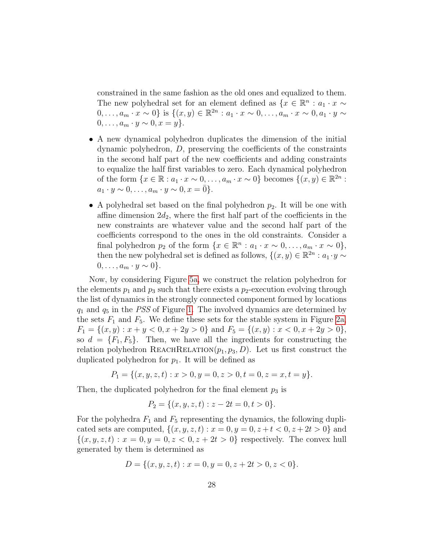constrained in the same fashion as the old ones and equalized to them. The new polyhedral set for an element defined as  $\{x \in \mathbb{R}^n : a_1 \cdot x \sim \}$  $0, ..., a_m \cdot x \sim 0$ } is  $\{(x, y) \in \mathbb{R}^{2n} : a_1 \cdot x \sim 0, ..., a_m \cdot x \sim 0, a_1 \cdot y \sim$  $0, \ldots, a_m \cdot y \sim 0, x = y$ .

- A new dynamical polyhedron duplicates the dimension of the initial dynamic polyhedron, D, preserving the coefficients of the constraints in the second half part of the new coefficients and adding constraints to equalize the half first variables to zero. Each dynamical polyhedron of the form  $\{x \in \mathbb{R} : a_1 \cdot x \sim 0, \ldots, a_m \cdot x \sim 0\}$  becomes  $\{(x, y) \in \mathbb{R}^{2n} : a_1 \cdot x \sim 0, \ldots, a_m \cdot x \sim 0\}$  $a_1 \cdot y \sim 0, \ldots, a_m \cdot y \sim 0, x = \overline{0}$ .
- A polyhedral set based on the final polyhedron  $p_2$ . It will be one with affine dimension  $2d_2$ , where the first half part of the coefficients in the new constraints are whatever value and the second half part of the coefficients correspond to the ones in the old constraints. Consider a final polyhedron  $p_2$  of the form  $\{x \in \mathbb{R}^n : a_1 \cdot x \sim 0, \ldots, a_m \cdot x \sim 0\},\$ then the new polyhedral set is defined as follows,  $\{(x, y) \in \mathbb{R}^{2n} : a_1 \cdot y \sim$  $0, \ldots, a_m \cdot y \sim 0$ .

Now, by considering Figure [5a,](#page-30-0) we construct the relation polyhedron for the elements  $p_1$  and  $p_3$  such that there exists a  $p_2$ -execution evolving through the list of dynamics in the strongly connected component formed by locations  $q_1$  and  $q_5$  in the PSS of Figure [1.](#page-9-0) The involved dynamics are determined by the sets  $F_1$  and  $F_5$ . We define these sets for the stable system in Figure [2a,](#page-9-1)  $F_1 = \{(x, y) : x + y < 0, x + 2y > 0\}$  and  $F_5 = \{(x, y) : x < 0, x + 2y > 0\},$ so  $d = \{F_1, F_5\}$ . Then, we have all the ingredients for constructing the relation polyhedron REACHRELATION $(p_1, p_3, D)$ . Let us first construct the duplicated polyhedron for  $p_1$ . It will be defined as

$$
P_1 = \{(x, y, z, t) : x > 0, y = 0, z > 0, t = 0, z = x, t = y\}.
$$

Then, the duplicated polyhedron for the final element  $p_3$  is

$$
P_2 = \{(x, y, z, t) : z - 2t = 0, t > 0\}.
$$

For the polyhedra  $F_1$  and  $F_5$  representing the dynamics, the following duplicated sets are computed,  $\{(x, y, z, t) : x = 0, y = 0, z + t < 0, z + 2t > 0\}$  and  $\{(x, y, z, t) : x = 0, y = 0, z < 0, z + 2t > 0\}$  respectively. The convex hull generated by them is determined as

$$
D = \{(x, y, z, t) : x = 0, y = 0, z + 2t > 0, z < 0\}.
$$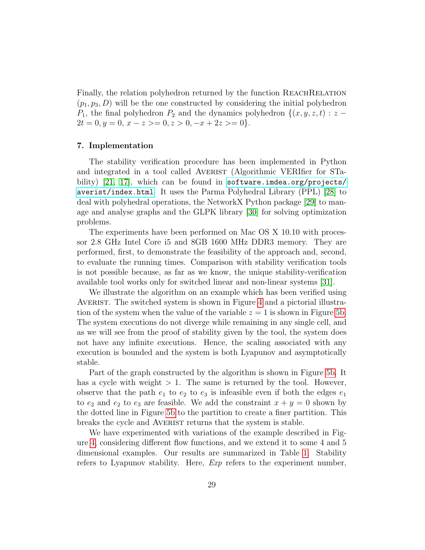Finally, the relation polyhedron returned by the function REACHRELATION  $(p_1, p_3, D)$  will be the one constructed by considering the initial polyhedron  $P_1$ , the final polyhedron  $P_2$  and the dynamics polyhedron  $\{(x, y, z, t) : z$  $2t = 0, y = 0, x - z > 0, z > 0, -x + 2z > 0$ .

## 7. Implementation

The stability verification procedure has been implemented in Python and integrated in a tool called AVERIST (Algorithmic VERIfier for STa-bility) [\[21,](#page-33-6) [17\]](#page-33-2), which can be found in [software.imdea.org/projects/](software.imdea.org/projects/averist/index.html) [averist/index.html](software.imdea.org/projects/averist/index.html). It uses the Parma Polyhedral Library (PPL) [\[28\]](#page-34-3) to deal with polyhedral operations, the NetworkX Python package [\[29\]](#page-34-4) to manage and analyse graphs and the GLPK library [\[30\]](#page-34-5) for solving optimization problems.

The experiments have been performed on Mac OS X 10.10 with processor 2.8 GHz Intel Core i5 and 8GB 1600 MHz DDR3 memory. They are performed, first, to demonstrate the feasibility of the approach and, second, to evaluate the running times. Comparison with stability verification tools is not possible because, as far as we know, the unique stability-verification available tool works only for switched linear and non-linear systems [\[31\]](#page-34-6).

We illustrate the algorithm on an example which has been verified using AVERIST. The switched system is shown in Figure [4](#page-29-0) and a pictorial illustration of the system when the value of the variable  $z = 1$  is shown in Figure [5b.](#page-30-0) The system executions do not diverge while remaining in any single cell, and as we will see from the proof of stability given by the tool, the system does not have any infinite executions. Hence, the scaling associated with any execution is bounded and the system is both Lyapunov and asymptotically stable.

Part of the graph constructed by the algorithm is shown in Figure [5b.](#page-30-0) It has a cycle with weight  $> 1$ . The same is returned by the tool. However, observe that the path  $e_1$  to  $e_2$  to  $e_3$  is infeasible even if both the edges  $e_1$ to  $e_2$  and  $e_2$  to  $e_3$  are feasible. We add the constraint  $x + y = 0$  shown by the dotted line in Figure [5b](#page-30-0) to the partition to create a finer partition. This breaks the cycle and AVERIST returns that the system is stable.

We have experimented with variations of the example described in Figure [4,](#page-29-0) considering different flow functions, and we extend it to some 4 and 5 dimensional examples. Our results are summarized in Table [1.](#page-31-4) Stability refers to Lyapunov stability. Here, Exp refers to the experiment number,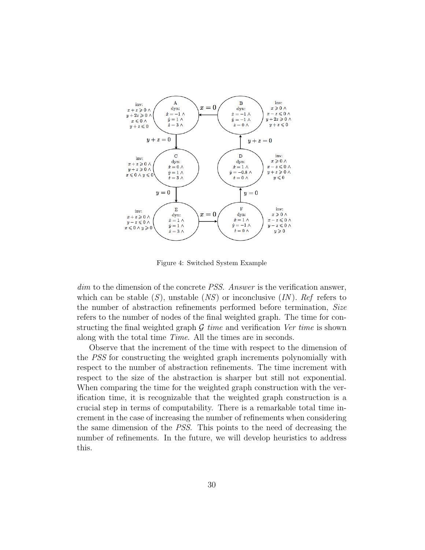<span id="page-29-0"></span>

Figure 4: Switched System Example

dim to the dimension of the concrete *PSS*. Answer is the verification answer, which can be stable  $(S)$ , unstable  $(NS)$  or inconclusive  $(IN)$ . Ref refers to the number of abstraction refinements performed before termination, Size refers to the number of nodes of the final weighted graph. The time for constructing the final weighted graph  $\mathcal G$  time and verification Ver time is shown along with the total time Time. All the times are in seconds.

Observe that the increment of the time with respect to the dimension of the PSS for constructing the weighted graph increments polynomially with respect to the number of abstraction refinements. The time increment with respect to the size of the abstraction is sharper but still not exponential. When comparing the time for the weighted graph construction with the verification time, it is recognizable that the weighted graph construction is a crucial step in terms of computability. There is a remarkable total time increment in the case of increasing the number of refinements when considering the same dimension of the PSS. This points to the need of decreasing the number of refinements. In the future, we will develop heuristics to address this.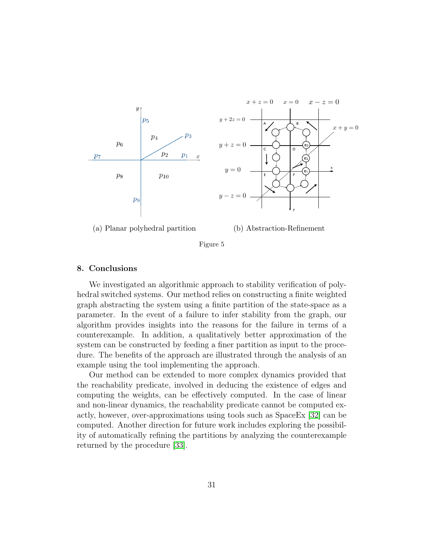<span id="page-30-0"></span>

Figure 5

#### 8. Conclusions

We investigated an algorithmic approach to stability verification of polyhedral switched systems. Our method relies on constructing a finite weighted graph abstracting the system using a finite partition of the state-space as a parameter. In the event of a failure to infer stability from the graph, our algorithm provides insights into the reasons for the failure in terms of a counterexample. In addition, a qualitatively better approximation of the system can be constructed by feeding a finer partition as input to the procedure. The benefits of the approach are illustrated through the analysis of an example using the tool implementing the approach.

Our method can be extended to more complex dynamics provided that the reachability predicate, involved in deducing the existence of edges and computing the weights, can be effectively computed. In the case of linear and non-linear dynamics, the reachability predicate cannot be computed exactly, however, over-approximations using tools such as SpaceEx [\[32\]](#page-34-7) can be computed. Another direction for future work includes exploring the possibility of automatically refining the partitions by analyzing the counterexample returned by the procedure [\[33\]](#page-34-8).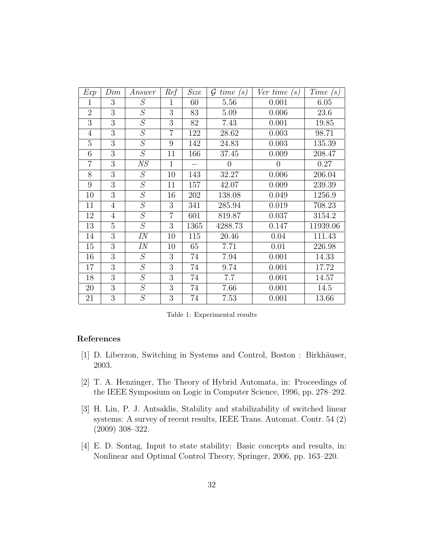<span id="page-31-4"></span>

| Exp            | Dim            | Answer         | Ref            | Size | time<br>$\mathcal G$<br>$\left( s\right)$ | Ver time $(s)$ | Time<br>(s) |
|----------------|----------------|----------------|----------------|------|-------------------------------------------|----------------|-------------|
| 1              | 3              | S              | 1              | 60   | 5.56                                      | 0.001          | 6.05        |
| $\overline{2}$ | 3              | S              | 3              | 83   | 5.09                                      | 0.006          | 23.6        |
| 3              | $\overline{3}$ | $\cal S$       | 3              | 82   | 7.43                                      | 0.001          | 19.85       |
| $\overline{4}$ | 3              | S              | $\overline{7}$ | 122  | 28.62                                     | 0.003          | 98.71       |
| 5              | $\overline{3}$ | $\overline{S}$ | 9              | 142  | 24.83                                     | 0.003          | 135.39      |
| 6              | 3              | S              | 11             | 166  | 37.45                                     | 0.009          | 208.47      |
| $\overline{7}$ | 3              | $\mathit{NS}$  | $\mathbf{1}$   |      | $\overline{0}$                            | $\overline{0}$ | 0.27        |
| 8              | 3              | $\cal S$       | 10             | 143  | 32.27                                     | 0.006          | 206.04      |
| 9              | 3              | S              | 11             | 157  | 42.07                                     | 0.009          | 239.39      |
| 10             | 3              | $\overline{S}$ | 16             | 202  | 138.08                                    | 0.049          | 1256.9      |
| 11             | $\overline{4}$ | $\cal S$       | 3              | 341  | 285.94                                    | 0.019          | 708.23      |
| 12             | $\overline{4}$ | $\cal S$       | $\overline{7}$ | 601  | 819.87                                    | 0.037          | 3154.2      |
| 13             | 5              | S              | 3              | 1365 | 4288.73                                   | 0.147          | 11939.06    |
| 14             | 3              | IN             | 10             | 115  | 20.46                                     | 0.04           | 111.43      |
| 15             | $\overline{3}$ | IN             | 10             | 65   | 7.71                                      | 0.01           | 226.98      |
| 16             | 3              | $\cal S$       | 3              | 74   | 7.94                                      | 0.001          | 14.33       |
| 17             | 3              | $\overline{S}$ | 3              | 74   | 9.74                                      | 0.001          | 17.72       |
| 18             | 3              | $\cal S$       | 3              | 74   | 7.7                                       | 0.001          | 14.57       |
| 20             | 3              | $\cal S$       | 3              | 74   | 7.66                                      | 0.001          | 14.5        |
| 21             | 3              | $\cal S$       | 3              | 74   | 7.53                                      | 0.001          | 13.66       |

Table 1: Experimental results

#### References

- <span id="page-31-0"></span>[1] D. Liberzon, Switching in Systems and Control, Boston : Birkhäuser, 2003.
- <span id="page-31-1"></span>[2] T. A. Henzinger, The Theory of Hybrid Automata, in: Proceedings of the IEEE Symposium on Logic in Computer Science, 1996, pp. 278–292.
- <span id="page-31-2"></span>[3] H. Lin, P. J. Antsaklis, Stability and stabilizability of switched linear systems: A survey of recent results, IEEE Trans. Automat. Contr. 54 (2) (2009) 308–322.
- <span id="page-31-3"></span>[4] E. D. Sontag, Input to state stability: Basic concepts and results, in: Nonlinear and Optimal Control Theory, Springer, 2006, pp. 163–220.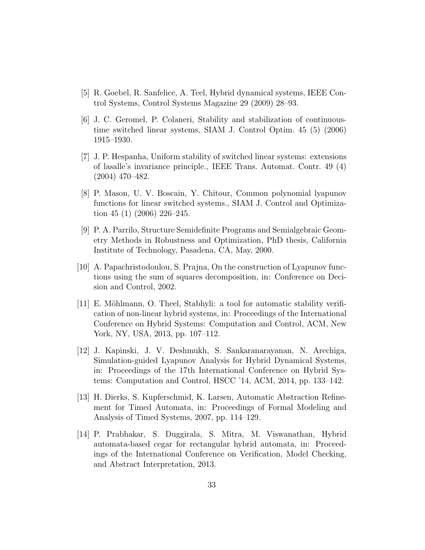- <span id="page-32-0"></span>[5] R. Goebel, R. Sanfelice, A. Teel, Hybrid dynamical systems, IEEE Control Systems, Control Systems Magazine 29 (2009) 28–93.
- <span id="page-32-1"></span>[6] J. C. Geromel, P. Colaneri, Stability and stabilization of continuoustime switched linear systems, SIAM J. Control Optim. 45 (5) (2006) 1915–1930.
- <span id="page-32-2"></span>[7] J. P. Hespanha, Uniform stability of switched linear systems: extensions of lasalle's invariance principle., IEEE Trans. Automat. Contr. 49 (4) (2004) 470–482.
- <span id="page-32-3"></span>[8] P. Mason, U. V. Boscain, Y. Chitour, Common polynomial lyapunov functions for linear switched systems., SIAM J. Control and Optimization 45 (1) (2006) 226–245.
- <span id="page-32-4"></span>[9] P. A. Parrilo, Structure Semidefinite Programs and Semialgebraic Geometry Methods in Robustness and Optimization, PhD thesis, California Institute of Technology, Pasadena, CA, May, 2000.
- <span id="page-32-5"></span>[10] A. Papachristodoulou, S. Prajna, On the construction of Lyapunov functions using the sum of squares decomposition, in: Conference on Decision and Control, 2002.
- <span id="page-32-6"></span>[11] E. Möhlmann, O. Theel, Stabhyli: a tool for automatic stability verification of non-linear hybrid systems, in: Proceedings of the International Conference on Hybrid Systems: Computation and Control, ACM, New York, NY, USA, 2013, pp. 107–112.
- <span id="page-32-7"></span>[12] J. Kapinski, J. V. Deshmukh, S. Sankaranarayanan, N. Arechiga, Simulation-guided Lyapunov Analysis for Hybrid Dynamical Systems, in: Proceedings of the 17th International Conference on Hybrid Systems: Computation and Control, HSCC '14, ACM, 2014, pp. 133–142.
- <span id="page-32-8"></span>[13] H. Dierks, S. Kupferschmid, K. Larsen, Automatic Abstraction Refinement for Timed Automata, in: Proceedings of Formal Modeling and Analysis of Timed Systems, 2007, pp. 114–129.
- <span id="page-32-9"></span>[14] P. Prabhakar, S. Duggirala, S. Mitra, M. Viswanathan, Hybrid automata-based cegar for rectangular hybrid automata, in: Proceedings of the International Conference on Verification, Model Checking, and Abstract Interpretation, 2013.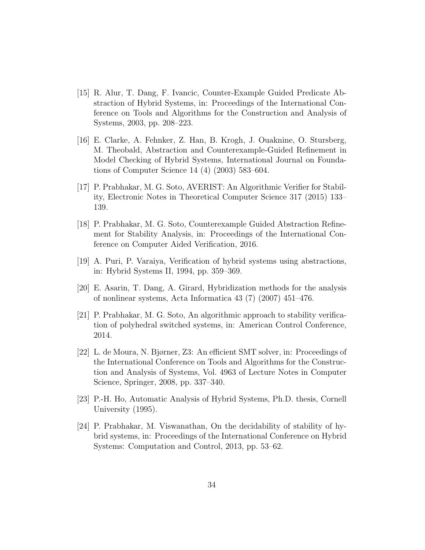- <span id="page-33-0"></span>[15] R. Alur, T. Dang, F. Ivancic, Counter-Example Guided Predicate Abstraction of Hybrid Systems, in: Proceedings of the International Conference on Tools and Algorithms for the Construction and Analysis of Systems, 2003, pp. 208–223.
- <span id="page-33-1"></span>[16] E. Clarke, A. Fehnker, Z. Han, B. Krogh, J. Ouaknine, O. Stursberg, M. Theobald, Abstraction and Counterexample-Guided Refinement in Model Checking of Hybrid Systems, International Journal on Foundations of Computer Science 14 (4) (2003) 583–604.
- <span id="page-33-2"></span>[17] P. Prabhakar, M. G. Soto, AVERIST: An Algorithmic Verifier for Stability, Electronic Notes in Theoretical Computer Science 317 (2015) 133– 139.
- <span id="page-33-3"></span>[18] P. Prabhakar, M. G. Soto, Counterexample Guided Abstraction Refinement for Stability Analysis, in: Proceedings of the International Conference on Computer Aided Verification, 2016.
- <span id="page-33-4"></span>[19] A. Puri, P. Varaiya, Verification of hybrid systems using abstractions, in: Hybrid Systems II, 1994, pp. 359–369.
- <span id="page-33-5"></span>[20] E. Asarin, T. Dang, A. Girard, Hybridization methods for the analysis of nonlinear systems, Acta Informatica 43 (7) (2007) 451–476.
- <span id="page-33-6"></span>[21] P. Prabhakar, M. G. Soto, An algorithmic approach to stability verification of polyhedral switched systems, in: American Control Conference, 2014.
- <span id="page-33-7"></span>[22] L. de Moura, N. Bjørner, Z3: An efficient SMT solver, in: Proceedings of the International Conference on Tools and Algorithms for the Construction and Analysis of Systems, Vol. 4963 of Lecture Notes in Computer Science, Springer, 2008, pp. 337–340.
- <span id="page-33-8"></span>[23] P.-H. Ho, Automatic Analysis of Hybrid Systems, Ph.D. thesis, Cornell University (1995).
- <span id="page-33-9"></span>[24] P. Prabhakar, M. Viswanathan, On the decidability of stability of hybrid systems, in: Proceedings of the International Conference on Hybrid Systems: Computation and Control, 2013, pp. 53–62.